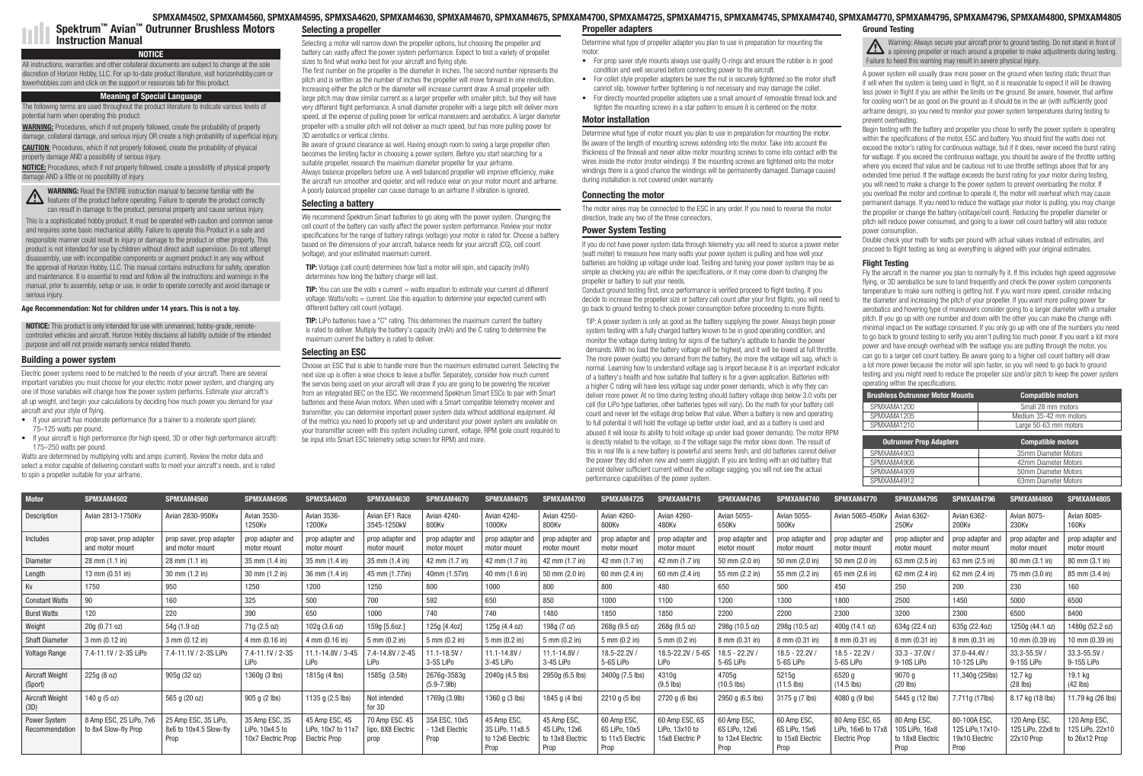## Age Recommendation: Not for children under 14 years. This is not a toy.

NOTICE: This product is only intended for use with unmanned, hobby-grade, remotecontrolled vehicles and aircraft. Horizon Hobby disclaims all liability outside of the intended purpose and will not provide warranty service related thereto.

# NOTICE

All instructions, warranties and other collateral documents are subject to change at the sole discretion of Horizon Hobby, LLC. For up-to-date product literature, visit horizonhobby.com or towerhobbies.com and click on the support or resources tab for this product.

WARNING: Procedures, which if not properly followed, create the probability of property damage, collateral damage, and serious injury OR create a high probability of superficial injury.

# Meaning of Special Language

The following terms are used throughout the product literature to indicate various levels of potential harm when operating this product:

CAUTION: Procedures, which if not properly followed, create the probability of physical property damage AND a possibility of serious injury.

NOTICE: Procedures, which if not properly followed, create a possibility of physical property damage AND a little or no possibility of injury.

WARNING: Read the ENTIRE instruction manual to become familiar with the **THE MARNING:** Fread the cryting insuration manual to operate the product correctly can result in damage to the product, personal property and cause serious injury.

This is a sophisticated hobby product. It must be operated with caution and common sense and requires some basic mechanical ability. Failure to operate this Product in a safe and responsible manner could result in injury or damage to the product or other property. This product is not intended for use by children without direct adult supervision. Do not attempt disassembly, use with incompatible components or augment product in any way without the approval of Horizon Hobby, LLC. This manual contains instructions for safety, operation and maintenance. It is essential to read and follow all the instructions and warnings in the manual, prior to assembly, setup or use, in order to operate correctly and avoid damage or serious injury.

## Building a power system

Electric power systems need to be matched to the needs of your aircraft. There are several important variables you must choose for your electric motor power system, and changing any one of those variables will change how the power system performs. Estimate your aircraft's all up weight, and begin your calculations by deciding how much power you demand for your aircraft and your style of flying.

- If your aircraft has moderate performance (for a trainer to a moderate sport plane): 75–125 watts per pound.
- If your aircraft is high performance (for high speed, 3D or other high performance aircraft): 175–250 watts per pound.

Watts are determined by multiplying volts and amps (current). Review the motor data and select a motor capable of delivering constant watts to meet your aircraft's needs, and is rated to spin a propeller suitable for your airframe.

**TIP:** You can use the volts x current  $=$  watts equation to estimate your current at different voltage. Watts/volts = current. Use this equation to determine your expected current with different battery cell count (voltage).

TIP: LiPo batteries have a "C" rating. This determines the maximum current the battery is rated to deliver. Multiply the battery's capacity (mAh) and the C rating to determine the maximum current the battery is rated to deliver.

Spektrum™ Avian™ Outrunner Brushless Motors Instruction Manual

| <b>Motor</b>                          | SPMXAM4502                                      | SPMXAM4560                                             | SPMXAM4595                                              | SPMXSA4620                                                      | SPMXAM4630                                   | SPMXAM4670                             | SPMXAM4675                                                | SPMXAM4700                                             | SPMXAM4725                                               | SPMXAM4715                                        | SPMXAM4745                                               | SPMXAM4740                                              | SPMXAM4770                                            | SPMXAM4795                                               | SPMXAM4796                                               | SPMXAM4800                                     | SPMXAM4805                                       |
|---------------------------------------|-------------------------------------------------|--------------------------------------------------------|---------------------------------------------------------|-----------------------------------------------------------------|----------------------------------------------|----------------------------------------|-----------------------------------------------------------|--------------------------------------------------------|----------------------------------------------------------|---------------------------------------------------|----------------------------------------------------------|---------------------------------------------------------|-------------------------------------------------------|----------------------------------------------------------|----------------------------------------------------------|------------------------------------------------|--------------------------------------------------|
| Description                           | Avian 2813-1750Kv                               | Avian 2830-950Kv                                       | Avian 3530-<br>1250Kv                                   | Avian 3536-<br>1200Kv                                           | Avian EF1 Race<br>3545-1250kV                | Avian 4240-<br>800Kv                   | Avian 4240-<br>1000Kv                                     | Avian 4250-<br>800Kv                                   | Avian 4260-<br>800Kv                                     | Avian 4260-<br>480Kv                              | Avian 5055-<br>650Kv                                     | Avian 5055-<br>500Kv                                    | Avian 5065-450Kv                                      | Avian 6362-<br>250Kv                                     | Avian 6362-<br>200Kv                                     | Avian 8075-<br>230Kv                           | Avian 8085-<br><b>160Kv</b>                      |
| Includes                              | prop saver, prop adapter<br>and motor mount     | prop saver, prop adapte<br>and motor mount             | prop adapter and<br>motor mount                         | prop adapter an<br>motor mount                                  | prop adapter and<br>motor mount              | prop adapter and<br>motor mount        | prop adapter and<br>motor mount                           | prop adapter and<br>motor mount                        | prop adapter and<br>motor mount                          | prop adapter and<br>motor mount                   | prop adapter and<br>motor mount                          | prop adapter and<br>motor mount                         | prop adapter and<br>motor mount                       | prop adapter and<br>motor mount                          | prop adapter and<br>motor mount                          | prop adapter and<br>motor mount                | prop adapter and<br>motor mount                  |
| Diameter                              | $28 \text{ mm} (1.1 \text{ in})$                | $28 \text{ mm} (1.1 \text{ in})$                       | 35 mm (1.4 in)                                          | 35 mm (1.4 in)                                                  | 35 mm (1.4 in                                | 42 mm (1.7 in                          | 42 mm (1.7 in                                             | 42 mm (1.7 in                                          | 42 mm (1.7 in)                                           | 42 mm (1.7 in                                     | 50 mm (2.0 in)                                           | 50 mm (2.0 ir                                           | 50 mm (2.0 in                                         | 63 mm (2.5 in                                            | 63 mm (2.5 ir                                            | 80 mm (3.1 in                                  | 80 mm (3.1 in)                                   |
| Length                                | 13 mm $(0.51$ in)                               | 30 mm (1.2 in)                                         | 30 mm (1.2 in)                                          | 36 mm (1.4 in)                                                  | 45 mm (1.77in)                               | 40mm (1.57in)                          | 40 mm (1.6 in                                             | 50 mm (2.0 in)                                         | 60 mm (2.4 in)                                           | 60 mm (2.4 in                                     | 55 mm (2.2 in)                                           | 55 mm (2.2 in                                           | 65 mm (2.6 ir                                         | 62 mm (2.4 in                                            | 62 mm (2.4 in                                            | 75 mm (3.0 in                                  | 85 mm (3.4 in)                                   |
| Kv                                    | 1750                                            | 950                                                    | 1250                                                    | 1200                                                            | 1250                                         | 800                                    | 1000                                                      | 800                                                    | 800                                                      | 480                                               | 650                                                      | 500                                                     | 450                                                   | 250                                                      | 200                                                      | 230                                            | 160                                              |
| <b>Constant Watts</b>                 | 90                                              | 160                                                    | 325                                                     | 500                                                             | 700                                          | 592                                    | 650                                                       | 850                                                    | 1000                                                     | 1100                                              | 1200                                                     | 1300                                                    | 1800                                                  | 2500                                                     | 1450                                                     | 5000                                           | 6500                                             |
| <b>Burst Watts</b>                    | 120                                             | 220                                                    | 390                                                     | 650                                                             | 1000                                         | 740                                    | 740                                                       | 1480                                                   | 1850                                                     | 1850                                              | 2200                                                     | 2200                                                    | 2300                                                  | 3200                                                     | 2300                                                     | 6500                                           | 8400                                             |
| Weight                                | 20g (0.71 oz)                                   | 54g (1.9 oz)                                           | 71g (2.5 oz)                                            | 102g (3.6 oz)                                                   | 159g [5.6oz.]                                | 125g [4.4oz]                           | 125g (4.4 oz)                                             | 198g (7 oz)                                            | 268g (9.5 oz)                                            | 268g (9.5 oz)                                     | 298g (10.5 oz)                                           | 298g (10.5 oz)                                          | 400g (14.1 oz)                                        | 634g (22.4 oz)                                           | 635g (22.40z)                                            | 1250g (44.1 oz)                                | 1480g (52.2 oz)                                  |
| <b>Shaft Diameter</b>                 | $3 \text{ mm } (0.12 \text{ in})$               | $3$ mm (0.12 in)                                       | 4 mm (0.16 in)                                          | 4 mm (0.16 in)                                                  | 5 mm (0.2 in)                                | $5 \text{ mm} (0.2 \text{ in})$        | 5 mm (0.2 in)                                             | 5 mm (0.2 in)                                          | $5 \, \text{mm}$ (0.2 in)                                | 5 mm (0.2 in)                                     | 8 mm (0.31 in)                                           | 8 mm (0.31 in)                                          | 8 mm (0.31 in)                                        | 8 mm (0.31 in)                                           | 8 mm (0.31 in                                            | 0 mm (0.39 in)                                 | 10 mm (0.39 in)                                  |
| <b>Voltage Range</b>                  | 7.4-11.1V / 2-3S LiPo                           | 7.4-11.1V / 2-3S LiPo                                  | 7.4-11.1V / 2-3S<br>LiPo                                | $.1 - 14.8V / 3 - 4S$<br>LiPo                                   | 4-14.8V / 2-4S<br>LiPo                       | $1.1 - 18.5V$<br>3-5S LiPo             | 11.1-14.8V<br>3-4S LiPo                                   | 11.1-14.8V<br>3-4S LiPo                                | 18.5-22.2V<br>5-6S LiPo                                  | 18.5-22.2V / 5-6S<br>LiPo                         | $18.5 - 22.2V$<br>5-6S LiPo                              | $18.5 - 22.2V$<br>5-6S LiPo                             | 18.5 - 22.2V<br>5-6S LiPo                             | $33.3 - 37.0V$<br>9-10S LiPo                             | 37.0-44.4V<br>10-12S LiPo                                | 33.3-55.5V<br>9-15S LiPo                       | 33.3-55.5V/<br>9-15S LiPo                        |
| <b>Aircraft Weight</b><br>(Sport)     | 225g (8 oz)                                     | 905g (32 oz)                                           | 1360g (3 lbs)                                           | 1815g (4 lbs)                                                   | 1585g (3.5lb)                                | 2676g-3583g<br>$(5.9 - 7.9$ lb)        | 2040g (4.5 lbs)                                           | 2950g (6.5 lbs)                                        | 3400g (7.5 lbs)                                          | 4310g<br>$(9.5$ lbs)                              | 4705g<br>$(10.5$ lbs)                                    | 5215g<br>$(11.5$ lbs)                                   | 6520 g<br>$(14.5$ lbs)                                | 9070 g<br>$(20$ lbs)                                     | 11,340g (25lbs)                                          | 12.7 ka<br>$(28$ lbs)                          | 19.1 kg<br>$(42$ lbs)                            |
| <b>Aircraft Weight</b><br>(3D)        | 140 g (5 oz)                                    | 565 g (20 oz)                                          | 905 g (2 lbs)                                           | 1135 g (2.5 lbs)                                                | Not intended<br>for 3D                       | 1769g (3.9lb)                          | 1360 g (3 lbs)                                            | 1845 g (4 lbs)                                         | 2210 g (5 lbs)                                           | 2720 g (6 lbs)                                    | 2950 g (6.5 lbs)                                         | 3175 g (7 lbs)                                          | 4080 g (9 lbs)                                        | 5445 g (12 lbs)                                          | .711g (17lbs)                                            | 8.17 kg (18 lbs)                               | 11.79 kg (26 lbs)                                |
| <b>Power System</b><br>Recommendation | 8 Amp ESC, 2S LiPo, 7x6<br>to 8x4 Slow-fly Prop | 25 Amp ESC, 3S LiPo,<br>8x6 to 10x4.5 Slow-fly<br>Prop | 35 Amp ESC, 3S<br>LiPo, 10x4.5 to<br>10x7 Electric Prop | 45 Amp ESC, 4S<br>LiPo. $10x7$ to $11x$<br><b>Electric Prop</b> | 70 Amp ESC. 4S<br>lipo, 8X8 Electric<br>prop | 35A ESC, 10x5<br>13x8 Electric<br>Prop | 45 Amp ESC<br>3S LiPo, 11x8.5<br>to 12x6 Electric<br>Prop | 45 Amp ESC<br>4S LiPo. 12x6<br>to 13x8 Electri<br>Prop | 60 Amp ESC.<br>6S LiPo, 10x5<br>to 11x5 Electric<br>Prop | 60 Amp ESC, 6S<br>LiPo. 13x10 to<br>15x8 Electric | 60 Amp ESC.<br>6S LiPo. 12x6<br>to 13x4 Electric<br>Prop | 60 Amp ESC.<br>6S LiPo, 15x6<br>to 15x8 Electri<br>Prop | 80 Amp ESC, 6S<br>LiPo. 16x6 to 17x8<br>Electric Prop | 80 Amp ESC<br>10S LiPo, 16x8<br>to 18x8 Electric<br>Prop | 80-100A ESC<br>12S LiPo, 17x10<br>19x10 Electric<br>Prop | 120 Amp ESC<br>12S LiPo, 22x8 to<br>22x10 Prop | 120 Amp ESC,<br>12S LiPo, 22x10<br>to 26x12 Prop |

Determine what type of propeller adapter you plan to use in preparation for mounting the motor

| <b>Brushless Outrunner Motor Mounts</b> | <b>Compatible motors</b> |
|-----------------------------------------|--------------------------|
| SPMXAMA1200                             | Small 28 mm motors       |
| SPMXAMA1205                             | Medium 35-42 mm motors   |
| SPMXAMA1210                             | Large 50-63 mm motors    |
|                                         |                          |
|                                         |                          |
| <b>Outrunner Prop Adapters</b>          | <b>Compatible motors</b> |
| SPMXAMA4903                             | 35mm Diameter Motors     |
| SPMXAMA4906                             | 42mm Diameter Motors     |
| SPMXAMA4909                             | 50mm Diameter Motors     |

## Selecting a motor will narrow down the propeller options, but choosing the propeller and battery can vastly affect the power system performance. Expect to test a variety of propeller sizes to find what works best for your aircraft and flying style.

The first number on the propeller is the diameter in inches. The second number represents the pitch and is written as the number of inches the propeller will move forward in one revolution. Increasing either the pitch or the diameter will increase current draw. A small propeller with large pitch may draw similar current as a larger propeller with smaller pitch, but they will have very different flight performance. A small diameter propeller with a large pitch will deliver more speed, at the expense of pulling power for vertical maneuvers and aerobatics. A larger diameter propeller with a smaller pitch will not deliver as much speed, but has more pulling power for 3D aerobatics or vertical climbs.

Be aware of ground clearance as well. Having enough room to swing a large propeller often becomes the limiting factor in choosing a power system. Before you start searching for a suitable propeller, research the maximum diameter propeller for your airframe. Always balance propellers before use. A well balanced propeller will improve efficiency, make the aircraft run smoother and quieter, and will reduce wear on your motor mount and airframe. A poorly balanced propeller can cause damage to an airframe if vibration is ignored.

# Selecting a battery

We recommend Spektrum Smart batteries to go along with the power system. Changing the cell count of the battery can vastly affect the power system performance. Review your motor specifications for the range of battery ratings (voltage) your motor is rated for. Choose a battery based on the dimensions of your aircraft, balance needs for your aircraft (CG), cell count (voltage), and your estimated maximum current.

TIP: Voltage (cell count) determines how fast a motor will spin, and capacity (mAh) determines how long the battery charge will last.

# Selecting an ESC

Choose an ESC that is able to handle more than the maximum estimated current. Selecting the next size up is often a wise choice to leave a buffer. Separately, consider how much current the servos being used on your aircraft will draw if you are going to be powering the receiver from an integrated BEC on the ESC. We recommend Spektrum Smart ESCs to pair with Smart batteries and these Avian motors. When used with a Smart compatible telemetry receiver and transmitter, you can determine important power system data without additional equipment. All of the metrics you need to properly set up and understand your power system are available on your transmitter screen with this system including current, voltage, RPM (pole count required to be input into Smart ESC telemetry setup screen for RPM) and more.

#### SPMXAM4502, SPMXAM4560, SPMXAM4595, SPMXSA4620, SPMXAM4630, SPMXAM4670, SPMXAM4675, SPMXAM4700, SPMXAM4725, SPMXAM4715, SPMXAM4745, SPMXAM4740, SPMXAM4770, SPMXAM4795, SPMXAM4796, SPMXAM4800, SPMXAM4805 Selecting a propeller Propeller adapters Ground Testing

- For prop saver style mounts always use quality O-rings and ensure the rubber is in good condition and well secured before connecting power to the aircraft.
- For collet style propeller adapters be sure the nut is securely tightened so the motor shaft cannot slip, however further tightening is not necessary and may damage the collet.
- For directly mounted propeller adapters use a small amount of removable thread lock and tighten the mounting screws in a star pattern to ensure it is centered on the motor.

# Motor installation

Determine what type of motor mount you plan to use in preparation for mounting the motor. Be aware of the length of mounting screws extending into the motor. Take into account the thickness of the firewall and never allow motor mounting screws to come into contact with the wires inside the motor (motor windings). If the mounting screws are tightened onto the motor windings there is a good chance the windings will be permanently damaged. Damage caused during installation is not covered under warranty.

# Connecting the motor

The motor wires may be connected to the ESC in any order. If you need to reverse the motor direction, trade any two of the three connectors.

# Power System Testing

If you do not have power system data through telemetry you will need to source a power meter (watt meter) to measure how many watts your power system is pulling and how well your batteries are holding up voltage under load. Testing and tuning your power system may be as simple as checking you are within the specifications, or it may come down to changing the propeller or battery to suit your needs.

Conduct ground testing first, once performance is verified proceed to flight testing. If you decide to increase the propeller size or battery cell count after your first flights, you will need to go back to ground testing to check power consumption before proceeding to more flights.

TIP: A power system is only as good as the battery supplying the power. Always begin power system testing with a fully charged battery known to be in good operating condition, and monitor the voltage during testing for signs of the battery's aptitude to handle the power demands. With no load the battery voltage will be highest, and it will be lowest at full throttle. The more power (watts) you demand from the battery, the more the voltage will sag, which is normal. Learning how to understand voltage sag is import because it is an important indicator of a battery's health and how suitable that battery is for a given application. Batteries with a higher C rating will have less voltage sag under power demands, which is why they can deliver more power. At no time during testing should battery voltage drop below 3.0 volts per cell (for LiPo type batteries, other batteries types will vary). Do the math for your battery cell count and never let the voltage drop below that value. When a battery is new and operating to full potential it will hold the voltage up better under load, and as a battery is used and abused it will loose its ability to hold voltage up under load (power demands). The motor RPM is directly related to the voltage, so if the voltage sags the motor slows down. The result of this in real life is a new battery is powerful and seems fresh, and old batteries cannot deliver the power they did when new and seem sluggish. If you are testing with an old battery that cannot deliver sufficient current without the voltage sagging, you will not see the actual performance capabilities of the power system.

Warning: Always secure your aircraft prior to ground testing. Do not stand in front of **21** Warning: Always secure your anticate prior to give the adjustments during testing. Failure to heed this warning may result in severe physical injury.

A power system will usually draw more power on the ground when testing static thrust than it will when the system is being used in flight, so it is reasonable to expect it will be drawing less power in flight if you are within the limits on the ground. Be aware, however, that airflow for cooling won't be as good on the ground as it should be in the air (with sufficiently good airframe design), so you need to monitor your power system temperatures during testing to prevent overheating.

Begin testing with the battery and propeller you chose to verify the power system is operating within the specifications of the motor, ESC and battery. You should find the watts does not exceed the motor's rating for continuous wattage, but if it does, never exceed the burst rating for wattage. If you exceed the continuous wattage, you should be aware of the throttle setting where you exceed that value and be cautious not to use throttle settings above that for any extended time period. If the wattage exceeds the burst rating for your motor during testing, you will need to make a change to the power system to prevent overloading the motor. If you overload the motor and continue to operate it, the motor will overheat which may cause permanent damage. If you need to reduce the wattage your motor is pulling, you may change the propeller or change the battery (voltage/cell count). Reducing the propeller diameter or pitch will reduce power consumed, and going to a lower cell count battery will also reduce power consumption.

Double check your math for watts per pound with actual values instead of estimates, and proceed to flight testing as long as everything is aligned with your original estimates.

# Flight Testing

Fly the aircraft in the manner you plan to normally fly it. If this includes high speed aggressive flying, or 3D aerobatics be sure to land frequently and check the power system components temperature to make sure nothing is getting hot. If you want more speed, consider reducing the diameter and increasing the pitch of your propeller. If you want more pulling power for aerobatics and hovering type of maneuvers consider going to a larger diameter with a smaller pitch. If you go up with one number and down with the other you can make the change with minimal impact on the wattage consumed. If you only go up with one of the numbers you need to go back to ground testing to verify you aren't pulling too much power. If you want a lot more power and have enough overhead with the wattage you are putting through the motor, you can go to a larger cell count battery. Be aware going to a higher cell count battery will draw a lot more power because the motor will spin faster, so you will need to go back to ground testing and you might need to reduce the propeller size and/or pitch to keep the power system operating within the specifications.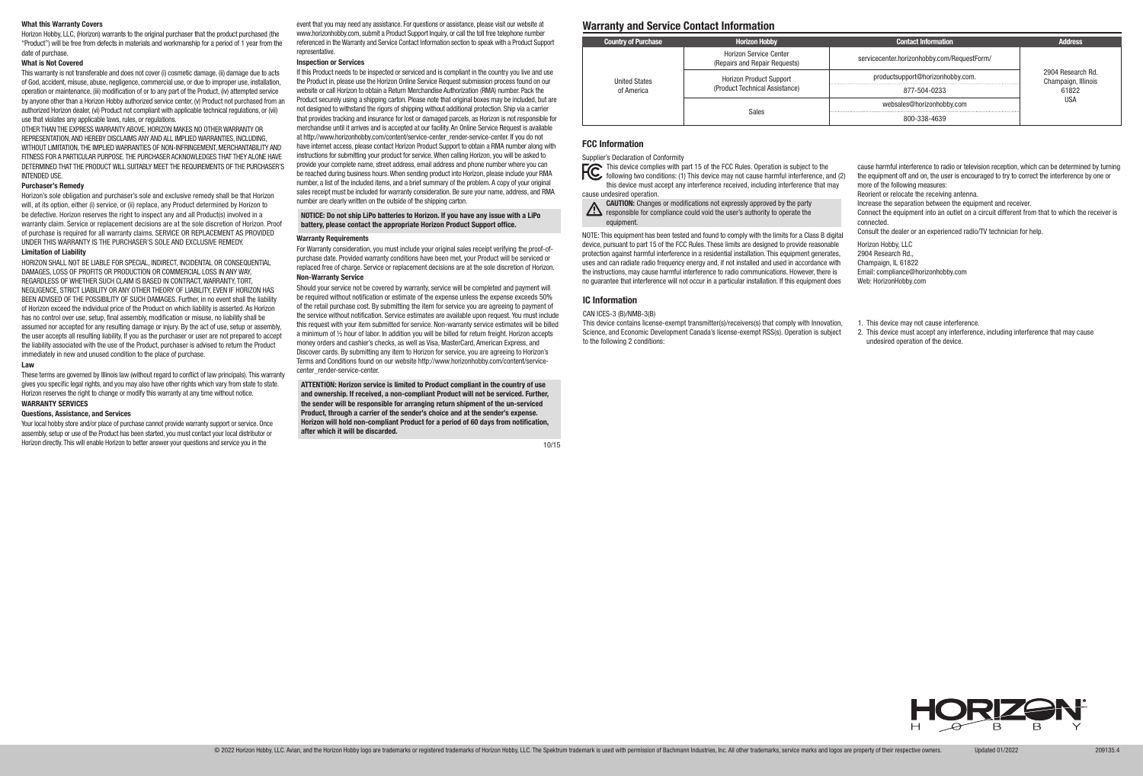"Product") will be free from defects in materials and workmanship for a period of 1 year from the date of purchase.

#### What is Not Covered

This warranty is not transferable and does not cover (i) cosmetic damage, (ii) damage due to acts of God, accident, misuse, abuse, negligence, commercial use, or due to improper use, installation, operation or maintenance, (iii) modification of or to any part of the Product, (iv) attempted service by anyone other than a Horizon Hobby authorized service center, (v) Product not purchased from an authorized Horizon dealer, (vi) Product not compliant with applicable technical regulations, or (vii) use that violates any applicable laws, rules, or regulations.

OTHER THAN THE EXPRESS WARRANTY ABOVE, HORIZON MAKES NO OTHER WARRANTY OR REPRESENTATION, AND HEREBY DISCLAIMS ANY AND ALL IMPLIED WARRANTIES, INCLUDING, WITHOUT LIMITATION, THE IMPLIED WARRANTIES OF NON-INFRINGEMENT, MERCHANTABILITY AND FITNESS FOR A PARTICULAR PURPOSE. THE PURCHASER ACKNOWLEDGES THAT THEY ALONE HAVE DETERMINED THAT THE PRODUCT WILL SUITABLY MEET THE REQUIREMENTS OF THE PURCHASER'S INTENDED USE.

#### Purchaser's Remedy

Horizon's sole obligation and purchaser's sole and exclusive remedy shall be that Horizon will, at its option, either (i) service, or (ii) replace, any Product determined by Horizon to be defective. Horizon reserves the right to inspect any and all Product(s) involved in a warranty claim. Service or replacement decisions are at the sole discretion of Horizon. Proof of purchase is required for all warranty claims. SERVICE OR REPLACEMENT AS PROVIDED UNDER THIS WARRANTY IS THE PURCHASER'S SOLE AND EXCLUSIVE REMEDY.

## Limitation of Liability

What this Warranty Covers<br>Horizon Hobby, LLC. (Horizon) warrants to the original purchaser that the product purchased (the www.horizonhobby.com, submit a Product Support Inquiry, or call the toll free telephone number<br>Hori event that you may need any assistance. For questions or assistance, please visit our website at www.horizonhobby.com, submit a Product Support Inquiry, or call the toll free telephone number referenced in the Warranty and Service Contact Information section to speak with a Product Support representative.

HORIZON SHALL NOT BE LIABLE FOR SPECIAL, INDIRECT, INCIDENTAL OR CONSEQUENTIAL DAMAGES, LOSS OF PROFITS OR PRODUCTION OR COMMERCIAL LOSS IN ANY WAY, REGARDLESS OF WHETHER SUCH CLAIM IS BASED IN CONTRACT, WARRANTY, TORT, NEGLIGENCE, STRICT LIABILITY OR ANY OTHER THEORY OF LIABILITY, EVEN IF HORIZON HAS BEEN ADVISED OF THE POSSIBILITY OF SUCH DAMAGES. Further, in no event shall the liability of Horizon exceed the individual price of the Product on which liability is asserted. As Horizon has no control over use, setup, final assembly, modification or misuse, no liability shall be assumed nor accepted for any resulting damage or injury. By the act of use, setup or assembly, the user accepts all resulting liability. If you as the purchaser or user are not prepared to accept the liability associated with the use of the Product, purchaser is advised to return the Product immediately in new and unused condition to the place of purchase.

If this Product needs to be inspected or serviced and is compliant in the country you live and use the Product in, please use the Horizon Online Service Request submission process found on our website or call Horizon to obtain a Return Merchandise Authorization (RMA) number. Pack the Product securely using a shipping carton. Please note that original boxes may be included, but are not designed to withstand the rigors of shipping without additional protection. Ship via a carrier that provides tracking and insurance for lost or damaged parcels, as Horizon is not responsible for merchandise until it arrives and is accepted at our facility. An Online Service Request is available at http://www.horizonhobby.com/content/service-center\_render-service-center. If you do not have internet access, please contact Horizon Product Support to obtain a RMA number along with instructions for submitting your product for service. When calling Horizon, you will be asked to provide your complete name, street address, email address and phone number where you can be reached during business hours. When sending product into Horizon, please include your RMA number, a list of the included items, and a brief summary of the problem. A copy of your original sales receipt must be included for warranty consideration. Be sure your name, address, and RMA number are clearly written on the outside of the shipping carton.

#### Law

These terms are governed by Illinois law (without regard to conflict of law principals). This warranty gives you specific legal rights, and you may also have other rights which vary from state to state. Horizon reserves the right to change or modify this warranty at any time without notice. WARRANTY SERVICES

## Questions, Assistance, and Services

Your local hobby store and/or place of purchase cannot provide warranty support or service. Once assembly, setup or use of the Product has been started, you must contact your local distributor or Horizon directly. This will enable Horizon to better answer your questions and service you in the

## Inspection or Services

## NOTICE: Do not ship LiPo batteries to Horizon. If you have any issue with a LiPo battery, please contact the appropriate Horizon Product Support office.

## Warranty Requirements

For Warranty consideration, you must include your original sales receipt verifying the proof-ofpurchase date. Provided warranty conditions have been met, your Product will be serviced or replaced free of charge. Service or replacement decisions are at the sole discretion of Horizon. Non-Warranty Service

Should your service not be covered by warranty, service will be completed and payment will be required without notification or estimate of the expense unless the expense exceeds 50% of the retail purchase cost. By submitting the item for service you are agreeing to payment of the service without notification. Service estimates are available upon request. You must include this request with your item submitted for service. Non-warranty service estimates will be billed a minimum of ½ hour of labor. In addition you will be billed for return freight. Horizon accepts money orders and cashier's checks, as well as Visa, MasterCard, American Express, and Discover cards. By submitting any item to Horizon for service, you are agreeing to Horizon's Terms and Conditions found on our website http://www.horizonhobby.com/content/servicecenter\_render-service-center.

ATTENTION: Horizon service is limited to Product compliant in the country of use and ownership. If received, a non-compliant Product will not be serviced. Further, the sender will be responsible for arranging return shipment of the un-serviced Product, through a carrier of the sender's choice and at the sender's expense. Horizon will hold non-compliant Product for a period of 60 days from notification, after which it will be discarded.

10/15

## FCC Information

Supplier's Declaration of Conformity

This device complies with part 15 of the FCC Rules. Operation is subject to the following two conditions: (1) This device may not cause harmful interference, and (2) this device must accept any interference received, including interference that may

cause undesired operation.



NOTE: This equipment has been tested and found to comply with the limits for a Class B digital device, pursuant to part 15 of the FCC Rules. These limits are designed to provide reasonable protection against harmful interference in a residential installation. This equipment generates, uses and can radiate radio frequency energy and, if not installed and used in accordance with the instructions, may cause harmful interference to radio communications. However, there is no guarantee that interference will not occur in a particular installation. If this equipment does

- cause harmful interference to radio or television reception, which can be determined by turning the equipment off and on, the user is encouraged to try to correct the interference by one or more of the following measures:
- Reorient or relocate the receiving antenna.
- Increase the separation between the equipment and receiver.
- Connect the equipment into an outlet on a circuit different from that to which the receiver is connected.
- Consult the dealer or an experienced radio/TV technician for help.
- Horizon Hobby, LLC 2904 Research Rd., Champaign, IL 61822 Email: compliance@horizonhobby.com Web: HorizonHobby.com
- 1. This device may not cause interference.
- 2. This device must accept any interference, including interference that may cause undesired operation of the device.



CAN ICES-3 (B)/NMB-3(B)

This device contains license-exempt transmitter(s)/receivers(s) that comply with Innovation, Science, and Economic Development Canada's license-exempt RSS(s). Operation is subject to the following 2 conditions:

#### IC Information

| <b>Country of Purchase</b> | <b>Horizon Hobby</b>                                           | <b>Contact Information</b>                  | <b>Address</b>                           |
|----------------------------|----------------------------------------------------------------|---------------------------------------------|------------------------------------------|
|                            | <b>Horizon Service Center</b><br>(Repairs and Repair Requests) | servicecenter.horizonhobby.com/RequestForm/ |                                          |
| <b>United States</b>       | <b>Horizon Product Support</b>                                 | productsupport@horizonhobby.com.            | 2904 Research Rd.<br>Champaign, Illinois |
| of America                 | (Product Technical Assistance)                                 | 877-504-0233                                | 61822                                    |
|                            |                                                                | websales@horizonhobby.com                   | <b>USA</b>                               |
|                            | <b>Sales</b>                                                   | 800-338-4639                                |                                          |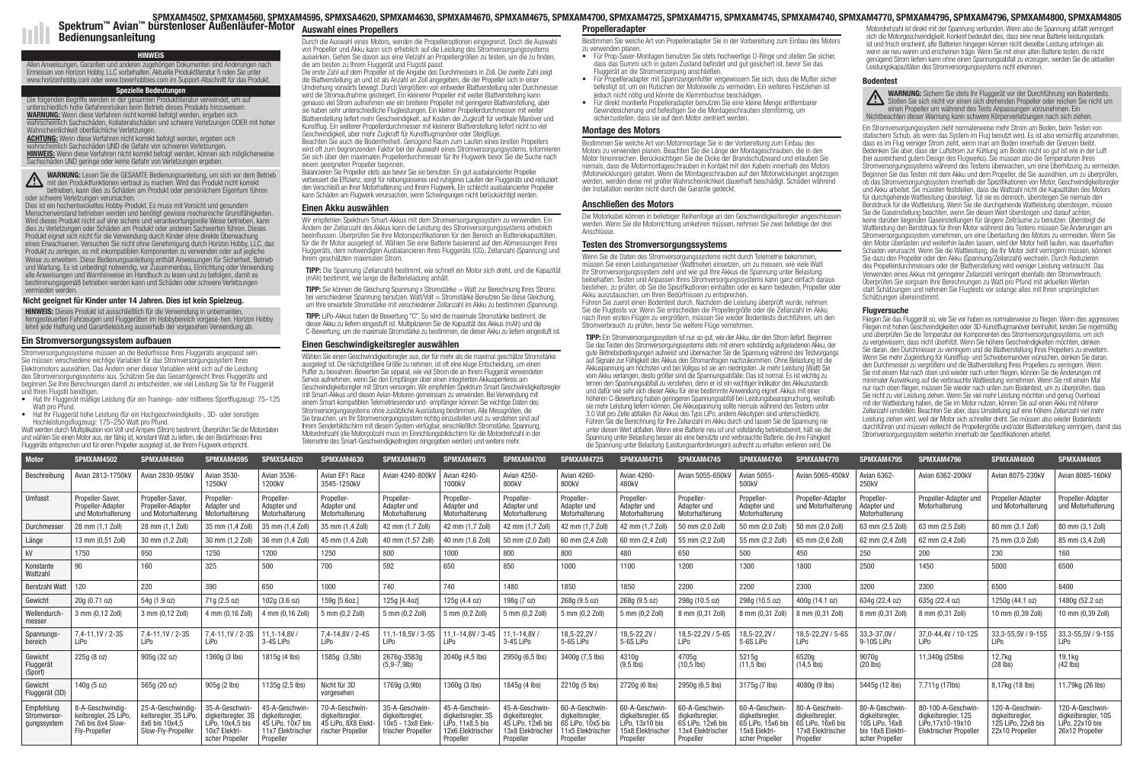Durch die Auswahl eines Motors, werden die Propelleroptionen eingegrenzt. Doch die Auswahl von Propeller und Akku kann sich erheblich auf die Leistung des Stromversorgungssystems auswirken. Gehen Sie davon aus eine Vielzahl an Propellergrößen zu testen, um die zu finden, die am besten zu Ihrem Fluggerät und Flugstil passt.

Die erste Zahl auf dem Propeller ist die Angabe des Durchmessers in Zoll. Die zweite Zahl zeigt die Blattverstellung an und ist als Anzahl an Zoll angegeben, die der Propeller sich in einer Umdrehung vorwärts bewegt. Durch Vergrößern von entweder Blattverstellung oder Durchmesser wird die Stromaufnahme gesteigert. Ein kleinerer Propeller mit weiter Blattverstellung kann genauso viel Strom aufnehmen wie ein breiterer Propeller mit geringerer Blattverstellung, aber sie haben sehr unterschiedliche Flugleistungen. Ein kleiner Propellerdurchmesser mit weiter Blattverstellung liefert mehr Geschwindigkeit, auf Kosten der Zugkraft für vertikale Manöver und Kunstflug. Ein weiterer Propellerdurchmesser mit kleinerer Blattverstellung liefert nicht so viel Geschwindigkeit, aber mehr Zugkraft für Kunstflugmanöver oder Steigflüge.

Beachten Sie auch die Bodenfreiheit. Genügend Raum zum Laufen eines breiten Propellers wird oft zum begrenzenden Faktor bei der Auswahl eines Stromversorgungsystems. Informieren Sie sich über den maximalen Propellerdurchmesser für Ihr Flugwerk bevor Sie die Suche nach einem geeigneten Propeller beginnen.

Balancieren Sie Propeller stets aus bevor Sie sie benutzen. Ein gut ausbalancierter Propeller verbessert die Effizienz, sorgt für reibungsloseres und ruhigeres Laufen der Fluggeräts und reduziert den Verschleiß an Ihrer Motorhalterung und Ihrem Flugwerk. Ein schlecht ausbalancierter Propeller kann Schäden am Flugwerk verursachen, wenn Schwingungen nicht berücksichtigt werden.

## Einen Akku auswählen

Wir empfehlen Spektrum Smart-Akkus mit dem Stromversorgungssystem zu verwenden. Ein Ändern der Zellanzahl des Akkus kann die Leistung des Stromversorgungssystems erheblich beeinflussen. Überprüfen Sie Ihre Motorspezifikationen für den Bereich an Batteriekapazitäten, für die Ihr Motor ausgelegt ist. Wählen Sie eine Batterie basierend auf den Abmessungen Ihres Fluggeräts, dem notwendigen Ausbalancieren Ihres Fluggeräts (CG), Zellanzahl (Spannung) und Ihrem geschätzten maximalen Strom.

TIPP: Die Spannung (Zellanzahl) bestimmt, wie schnell ein Motor sich dreht, und die Kapazität (mAh) bestimmt, wie lange die Batterieladung anhält.

TIPP: Sie können die Gleichung Spannung x Stromstärke = Watt zur Berechnung Ihres Stroms bei verschiedener Spannung benutzen. Watt/Volt = Stromstärke Benutzen Sie diese Gleichung, um Ihre erwartete Stromstärke mit verschiedener Zellanzahl im Akku zu bestimmen (Spannung).

TIPP: LiPo-Akkus haben die Bewertung "C". So wird die maximale Stromstärke bestimmt, die dieser Akku zu liefern eingestuft ist. Multiplizieren Sie die Kapazität des Akkus (mAh) und die C-Bewertung, um die maximale Stromstärke zu bestimmen, die dieser Akku zu liefern eingestuft ist.

## Einen Geschwindigkeitsregler auswählen

Wählen Sie einen Geschwindigkeitsregler aus, der für mehr als die maximal geschätze Stromstärke ausgelegt ist. Die nächstgrößere Größe zu nehmen, ist oft eine kluge Entscheidung, um einen Puffer zu bewahren. Bewerten Sie separat, wie viel Strom die an Ihrem Fluggerät verwendeten Servos aufnehmen, wenn Sie den Empfänger über einen integrierten Akkusperrkreis am Geschwindigkeitsregler mit Strom versorgen. Wir empfehlen Spektrum Smart Geschwindigkeitsregler mit Smart-Akkus und diesen Avian-Motoren gemeinsam zu verwenden. Bei Verwendung mit einem Smart-kompatiblen Telemetriesender und- empfänger können Sie wichtige Daten des Stromversorgungssystems ohne zusätzliche Ausrüstung bestimmen. Alle Messgrößen, die Sie brauchen, um Ihr Stromversorgungssystem richtig einzustellen und zu verstehen sind auf Ihrem Senderbildschirm mit diesem System verfügbar, einschließlich Stromstärke, Spannung, Motordrehzahl (die Motorpolzahl muss im Einrichtungsbildschirm für die Motordrehzahl in der Telemetrie des Smart-Geschwindigkeitreglers eingegeben werden) und weitere mehr.

Bestimmen Sie welche Art von Propelleradapter Sie in der Vorbereitung zum Einbau des Motors zu verwenden planen.

- Für Prop-Saver-Montagen benutzen Sie stets hochwertige O-Ringe und stellen Sie sicher, dass das Gummi sich in gutem Zustand befindet und gut gesichert ist, bevor Sie das Fluggerät an die Stromversorgung anschließen.
- Für Propelleradapter mit Spannzangenfutter vergewissern Sie sich, dass die Mutter sicher befestigt ist, um ein Rutschen der Motorwelle zu vermeiden. Ein weiteres Festziehen ist jedoch nicht nötig und könnte die Klemmbuchse beschädigen.
- Für direkt montierte Propelleradapter benutzen Sie eine kleine Menge entfernbarer Gewindesicherung und befestigen Sie die Montageschrauben sternförmig, um sicherzustellen, dass sie auf dem Motor zentriert werden.

## Montage des Motors

Bestimmen Sie welche Art von Motormontage Sie in der Vorbereitung zum Einbau des Motors zu verwenden planen. Beachten Sie die Länge der Montageschrauben, die in den Motor hineinreichen. Berücksichtigen Sie die Dicke der Brandschutzwand und erlauben Sie niemals, dass die Motormontageschrauben in Kontakt mit den Kabeln innerhalb des Motors (Motorwicklungen) geraten. Wenn die Montageschrauben auf den Motorwicklungen angezogen werden, werden diese mit großer Wahrscheinlichkeit dauerhaft beschädigt. Schäden während der Installation werden nicht durch die Garantie gedeckt.

## Anschließen des Motors

Die Motorkabel können in beliebiger Reihenfolge an den Geschwindigkeitsregler angeschlossen werden. Wenn Sie die Motorrichtung umkehren müssen, nehmen Sie zwei beliebige der drei Anschlüsse.

#### Testen des Stromversorgungssystems

Wenn Sie die Daten des Stromversorgungssystems nicht durch Telemetrie bekommen, müssen Sie einen Leistungsmesser (Wattmeter) einsetzen, um zu messen, wie viele Watt Ihr Stromversorgungssystem zieht und wie gut Ihre Akkus die Spannung unter Belastung beibehalten. Testen und Anpassen Ihres Stromversorgungssystems kann ganz einfach daraus bestehen, zu prüfen, ob Sie die Spezifikationen einhalten oder es kann bedeuten, Propeller oder Akku auszutauschen, um Ihren Bedürfnissen zu entsprechen.

Führen Sie zuerst einen Bodentest durch. Nachdem die Leistung überprüft wurde, nehmen Sie die Flugtests vor. Wenn Sie entscheiden die Propellergröße oder die Zellanzahl im Akku nach Ihren ersten Flügen zu vergrößern, müssen Sie wieder Bodentests durchführen, um den Stromverbrauch zu prüfen, bevor Sie weitere Flüge vornehmen.

**ACHTUNG:** Wenn diese Verfahren nicht korrekt befolgt werden, ergeben sich hrscheinlich Sachschäden UND die Gefahr von schweren Verletzungen. HINWEIS: Wenn diese Verfahren nicht korrekt befolgt werden, können sich möglicherweise Sachschäden UND geringe oder keine Gefahr von Verletzungen ergeben.

> TIPP: Ein Stromversorgungssystem ist nur so gut, wie der Akku, der den Strom liefert. Beginnen Sie das Testen des Stromversorgungssystems stets mit einem vollständig aufgeladenen Akku, der gute Betriebsbedingungen aufweist und überwachen Sie die Spannung während des Testvorgangs auf Signale zur Fähigkeit des Akkus den Stromanfragen nachzukommen. Ohne Belastung ist die Akkuspannung am höchsten und bei Vollgas ist sie am niedrigsten. Je mehr Leistung (Watt) Sie vom Akku verlangen, desto größer sind die Spannungsabfälle; Das ist normal. Es ist wichtig zu lernen den Spannungsabfall zu verstehen, denn er ist ein wichtiger Indikator des Akkuzustands und dafür wie sehr sich dieser Akku für eine bestimmte Anwendung eignet. Akkus mit einer höheren C-Bewertung haben geringeren Spannungsabfall bei Leistungsbeanspruchung, weshalb sie mehr Leistung liefern können. Die Akkuspannung sollte niemals während des Testens unter 3.0 Volt pro Zelle abfallen (für Akkus des Typs LiPo, andere Akkutypen sind unterschiedlich). Führen Sie die Berechnung für Ihre Zellanzahl im Akku durch und lassen Sie die Spannung nie unter diesen Wert abfallen. Wenn eine Batterie neu ist und vollständig betriebsbereit, hält sie die Spannung unter Belastung besser als eine benutzte und verbrauchte Batterie, die ihre Fähigkeit die Spannung unter Belastung (Leistungsanforderungen) aufrecht zu erhalten verlieren wird. Die

SPMXAM4502, SPMXAM4560, SPMXAM4595, SPMXSA4620, SPMXAM4630, SPMXAM4670, SPMXAM4675, SPMXAM4700, SPMXAM4725, SPMXAM4715, SPMXAM4745, SPMXAM4740, SPMXAM4770, SPMXAM4795, SPMXAM4796, SPMXAM4800, SPMXAM4805 Spektrum™ Avian™ bürstenloser Außenläufer-Motor Auswahl eines Propellers Propellers Propelleradapter Propelleradapter Bedienungsanleitung

sich die Motorgeschwindigkeit. Konkret bedeutet dies, dass eine neue Batterie leistungsstark ist und frisch erscheint, alte Batterien hingegen können nicht dieselbe Leistung erbringen als wenn sie neu waren und erscheinen träge. Wenn Sie mit einer alten Batterie testen, die nicht genügend Strom liefern kann ohne einen Spannungsabfall zu erzeugen, werden Sie die aktuellen Leistungskapazitäten des Stromversorgungssystems nicht erkennen.

# **Bodentest**

WARNUNG: Sichern Sie stets Ihr Fluggerät vor der Durchführung von Bodentests. Stellen Sie sich nicht vor einen sich drehenden Propeller oder reichen Sie nicht um einen Propeller um während des Tests Anpassungen vorzunehmen. Ein Nichtbeachten dieser Warnung kann schwere Körperverletzungen nach sich ziehen.

Ein Stromversorgungssystem zieht normalerweise mehr Strom am Boden, beim Testen von statischem Schub, als wenn das System im Flug benutzt wird. Es ist also vernünftig anzunehmen, dass es im Flug weniger Strom zieht, wenn man am Boden innerhalb der Grenzen bleibt. Bedenken Sie aber, dass der Luftstrom zur Kühlung am Boden nicht so gut ist wie in der Luft (bei ausreichend gutem Design des Flugwerks). Sie müssen also die Temperaturen Ihres Stromversorgungssystems während des Testens überwachen, um eine Überhitzung zu vermeiden. Beginnen Sie das Testen mit dem Akku und dem Propeller, die Sie auswählen, um zu überprüfen, ob das Stromversorgungssystem innerhalb der Spezifikationen von Motor, Geschwindigkeitsregler und Akku arbeitet. Sie müssten feststellen, dass die Wattzahl nicht die Kapazitäten des Motors für durchgehende Wattleistung übersteigt. Tut sie es dennoch, übersteigen Sie niemals den Berstdruck für die Wattleistung. Wenn Sie die durchgehende Wattleistung übersteigen, müssen Sie die Gaseinstellung beachten, wenn Sie diesen Wert übersteigen und darauf achten, keine darüber liegenden Gaseinstellungen für längere Zeiträume zu benutzen. Übersteigt die Wattleistung den Berstdruck für Ihren Motor während des Testens müssen Sie Änderungen am Stromversorgungssystem vornehmen, um eine Überlastung des Motors zu vermeiden. Wenn Sie den Motor überlasten und weiterhin laufen lassen, wird der Motor heiß laufen, was dauerhaften Schaden verursacht. Wenn Sie die Wattleistung, die Ihr Motor zieht verringern müssen, können Sie dazu den Propeller oder den Akku (Spannung/Zellanzahl) wechseln. Durch Reduzieren des Propellerdurchmessers oder der Blattverstellung wird weniger Leistung verbraucht. Das Verwenden eines Akkus mit geringerer Zellanzahl verringert ebenfalls den Stromverbrauch. Überprüfen Sie sorgsam Ihre Berechnungen zu Watt pro Pfund mit aktuellen Werten statt Schätzungen und nehmen Sie Flugtests vor solange alles mit Ihren ursprünglichen Schätzungen übereinstimmt.

# **Flugversuche**

Fliegen Sie das Fluggerät so, wie Sie vor haben es normalerweise zu fliegen. Wenn dies aggressives Fliegen mit hohen Geschwindigkeiten oder 3D-Kunstflugmanöver beinhaltet, landen Sie regelmäßig und überprüfen Sie die Temperatur der Komponenten des Stromversorgungssystems, um sich zu vergewissern, dass nicht überhitzt. Wenn Sie höhere Geschwindigkeiten möchten, denken Sie daran, den Durchmesser zu verringern und die Blattverstellung Ihres Propellers zu erweitern. Wenn Sie mehr Zugleistung für Kunstflug- und Schwebemanöver wünschen, denken Sie daran, den Durchmesser zu vergrößern und die Blattverstellung Ihres Propellers zu verringern. Wenn Sie mit einem Mal nach oben und wieder nach unten fliegen, können Sie die Änderungen mit minimaler Auswirkung auf die verbrauchte Wattleistung vornehmen. Wenn Sie mit einem Mal nur nach oben fliegen, müssen Sie wieder nach unten zum Bodentest, um zu überprüfen, dass Sie nicht zu viel Leistung ziehen. Wenn Sie viel mehr Leistung möchten und genug Overhead mit der Wattleistung haben, die Sie im Motor nutzen, können Sie auf einen Akku mit höherer Zellanzahl umstellen. Beachten Sie aber, dass Umstellung auf eine höhere Zellanzahl viel mehr Leistung ziehen wird, weil der Motor sich schneller dreht. Sie müssen also wieder Bodentests durchführen und müssen vielleicht die Propellergröße und/oder Blattverstellung verringern, damit das Stromversorgungssystem weiterhin innerhalb der Spezifikationen arbeitet.

#### Nicht geeignet für Kinder unter 14 Jahren. Dies ist kein Spielzeug.

HINWEIS: Dieses Produkt ist ausschließlich für die Verwendung in unbemanten, ferngesteuerten Fahrzeugen und Fluggeräten im Hobbybereich vorgese-hen. Horizon Hobby lehnt jede Haftung und Garantieleistung ausserhalb der vorgesehen Verwendung ab.

HINWEIS Allen Anweisungen, Garantien und anderen zugehörigen Dokumenten sind Änderungen nach Ermessen von Horizon Hobby, LLC vorbehalten. Aktuelle Produktliteratur fi nden Sie unter www.horizonhobby.com oder www.towerhobbies.com im Support-Abschnitt für das Produkt.

# Spezielle Bedeutungen

Die folgenden Begriffe werden in der gesamten Produktliteratur verwendet, um auf unterschiedlich hohe Gefahrenrisiken beim Betrieb dieses Produkts hinzuweisen: WARNUNG: Wenn diese Verfahren nicht korrekt befolgt werden, ergeben sich wahrscheinlich Sachschäden, Kollateralschäden und schwere Verletzungen ODER mit hoher Wahrscheinlichkeit oberflächliche Verletzungen.

WARNUNG: Lesen Sie die GESAMTE Bedienungsanleitung, um sich vor dem Betrieb **MARNUNG:** Lesen Sie die GESAW i E Begienungsamonung, am Sincht korrekt<br>mit den Produktfunktionen vertraut zu machen. Wird das Produkt nicht korrekt betrieben, kann dies zu Schäden am Produkt oder persönlichem Eigentum führen oder schwere Verletzungen verursachen.

Dies ist ein hochentwickeltes Hobby-Produkt. Es muss mit Vorsicht und gesundem Menschenverstand betrieben werden und benötigt gewisse mechanische Grundfähigkeiten. Wird dieses Produkt nicht auf eine sichere und verantwortungsvolle Weise betrieben, kann dies zu Verletzungen oder Schäden am Produkt oder anderen Sachwerten führen. Dieses Produkt eignet sich nicht für die Verwendung durch Kinder ohne direkte Überwachung eines Erwachsenen. Versuchen Sie nicht ohne Genehmigung durch Horizon Hobby, LLC, das Produkt zu zerlegen, es mit inkompatiblen Komponenten zu verwenden oder auf jegliche Weise zu erweitern. Diese Bedienungsanleitung enthält Anweisungen für Sicherheit, Betrieb und Wartung. Es ist unbedingt notwendig, vor Zusammenbau, Einrichtung oder Verwendung alle Anweisungen und Warnhinweise im Handbuch zu lesen und zu befolgen, damit es bestimmungsgemäß betrieben werden kann und Schäden oder schwere Verletzungen vermieden werden.

## Ein Stromversorgungssystem aufbauen

Stromversorgungssysteme müssen an die Bedürfnisse Ihres Fluggeräts angepasst sein. Sie müssen verschiedene wichtige Variablen für das Stromversorgungssystem Ihres Elektromotors auswählen. Das Ändern einer dieser Variablen wirkt sich auf die Leistung des Stromversorgungssystems aus. Schätzen Sie das Gesamtgewicht Ihres Fluggeräts und beginnen Sie Ihre Berechnungen damit zu entscheiden, wie viel Leistung Sie für Ihr Fluggerät und Ihren Flugstil benötigen.

- Hat Ihr Fluggerät mäßige Leistung (für ein Trainings- oder mittleres Sportflugzeug): 75–125 Watt pro Pfund.
- Hat Ihr Fluggerät hohe Leistung (für ein Hochgeschwindigkeits-, 3D- oder sonstiges

Hochleistungsflugzeug): 175–250 Watt pro Pfund. Watt werden durch Multiplikation von Volt und Ampere (Strom) bestimmt. Überprüfen Sie die Motordaten und wählen Sie einen Motor aus, der fähig ist, konstant Watt zu liefern, die den Bedürfnissen Ihres Fluggeräts entsprechen und für einen Propeller ausgelegt ist, der Ihrem Flugwerk entspricht.

| Motor                                     | SPMXAM4502                                                                     | SPMXAM4560                                                                        | SPMXAM4595                                                                                    | SPMXSA4620                                                                              | SPMXAM4630                                                                    | SPMXAM4670                                                                   | SPMXAM4675                                                                               | SPMXAM4700                                                                               | SPMXAM4725                                                                             | SPMXAM4715                                                                                              | SPMXAM4745                                                                             | SPMXAM4740                                                                                | SPMXAM4770                                                                              | SPMXAM4795                                                                                | SPMXAM4796                                                                            | SPMXAM4800                                                                 | SPMXAM4805                                                                              |
|-------------------------------------------|--------------------------------------------------------------------------------|-----------------------------------------------------------------------------------|-----------------------------------------------------------------------------------------------|-----------------------------------------------------------------------------------------|-------------------------------------------------------------------------------|------------------------------------------------------------------------------|------------------------------------------------------------------------------------------|------------------------------------------------------------------------------------------|----------------------------------------------------------------------------------------|---------------------------------------------------------------------------------------------------------|----------------------------------------------------------------------------------------|-------------------------------------------------------------------------------------------|-----------------------------------------------------------------------------------------|-------------------------------------------------------------------------------------------|---------------------------------------------------------------------------------------|----------------------------------------------------------------------------|-----------------------------------------------------------------------------------------|
| Beschreibung                              | Avian 2813-1750kV                                                              | Avian 2830-950kV                                                                  | <b>Avian 3530-</b><br>1250kV                                                                  | Avian 3536-<br>1200kV                                                                   | Avian EF1 Race<br>3545-1250kV                                                 | Avian 4240-800kV                                                             | <b>Avian 4240-</b><br>1000kV                                                             | Avian 4250<br>800kV                                                                      | Avian 4260-<br>800kV                                                                   | Avian 4260-<br>480 <sub>k</sub> V                                                                       | Avian 5055-650kV                                                                       | <b>Avian 5055-</b><br>500kV                                                               | Avian 5065-450k\                                                                        | Avian 6362-<br>250kV                                                                      | Avian 6362-200kV                                                                      | Avian 8075-230kV                                                           | Avian 8085-160kV                                                                        |
| Umfasst                                   | Propeller-Saver,<br>Propeller-Adapter<br>und Motorhalterung                    | Propeller-Saver.<br>Propeller-Adapter<br>und Motorhalterung                       | Propeller-<br>Adapter und<br>Motorhalterung                                                   | Propeller-<br>Adapter und<br>Motorhalterung                                             | Propeller-<br>Adapter und<br>Motorhalterung                                   | Propeller-<br>Adapter und<br>Motorhalterung                                  | Propeller-<br>Adapter und<br>Motorhalterung                                              | Propeller-<br>Adapter und<br>Motorhalterung                                              | Propeller-<br>Adapter und<br>Motorhalterung                                            | Propeller-<br>Adapter und<br>Motorhalterung                                                             | Propeller-<br>Adapter und<br>Motorhalterung                                            | Propeller-<br>Adapter und<br>Motorhalterung                                               | Propeller-Adapter<br>und Motorhalterung                                                 | Propeller-<br>Adapter und<br>Motorhalterung                                               | Propeller-Adapter und<br>Motorhalterung                                               | Propeller-Adapter<br>und Motorhalterung                                    | Propeller-Adapter<br>und Motorhalterung                                                 |
| Durchmesser                               | 28 mm (1,1 Zoll)                                                               | 28 mm (1,1 Zoll)                                                                  | 35 mm (1,4 Zoll)                                                                              | 35 mm (1,4 Zoll)                                                                        | 35 mm (1,4 Zoll)                                                              | 42 mm (1,7 Zoll)                                                             | 42 mm (1.7 Zoll)                                                                         | 42 mm (1.7 Zoll)                                                                         | 42 mm (1.7 Zoll)                                                                       | 42 mm (1,7 Zoll)                                                                                        | 50 mm (2,0 Zoll)                                                                       | 50 mm (2,0 Zoll                                                                           | 50 mm (2,0 Zoll)                                                                        | 63 mm (2,5 Zoll)                                                                          | 63 mm (2,5 Zoll)                                                                      | 80 mm (3,1 Zoll)                                                           | 80 mm (3,1 Zoll)                                                                        |
| Länge                                     | 13 mm (0,51 Zoll)                                                              | 30 mm (1,2 Zoll)                                                                  | 30 mm (1,2 Zoll)                                                                              | 36 mm (1,4 Zoll)                                                                        | 45 mm (1,4 Zoll)                                                              | 40 mm (1,57 Zoll)                                                            | 40 mm (1,6 Zoll)                                                                         | 50 mm (2,0 Zoll)                                                                         | 60 mm (2.4 Zoll)                                                                       | 60 mm (2,4 Zoll)                                                                                        | 55 mm (2,2 Zoll)                                                                       | 55 mm (2,2 Zoll                                                                           | 65 mm (2,6 Zoll)                                                                        | 62 mm (2,4 Zoll)                                                                          | 62 mm (2,4 Zoll)                                                                      | 75 mm (3,0 Zoll)                                                           | 85 mm (3,4 Zoll)                                                                        |
| kV                                        | 1750                                                                           | 950                                                                               | 1250                                                                                          | 1200                                                                                    | 1250                                                                          | 800                                                                          | 1000                                                                                     | 800                                                                                      | 800                                                                                    | 480                                                                                                     | 650                                                                                    | 500                                                                                       | 450                                                                                     | 250                                                                                       | 200                                                                                   | 230                                                                        | 160                                                                                     |
| Konstante<br>Wattzahl                     | 90                                                                             | 160                                                                               | 325                                                                                           | 500                                                                                     | 700                                                                           | 592                                                                          | 650                                                                                      | 850                                                                                      | 1000                                                                                   | 1100                                                                                                    | 1200                                                                                   | 1300                                                                                      | 1800                                                                                    | 2500                                                                                      | 1450                                                                                  | 5000                                                                       | 6500                                                                                    |
| <b>Berstzahl Watt</b>                     | 120                                                                            | 220                                                                               | 390                                                                                           | 650                                                                                     | 1000                                                                          | 740                                                                          | 740                                                                                      | 1480                                                                                     | 1850                                                                                   | 1850                                                                                                    | 2200                                                                                   | 2200                                                                                      | 2300                                                                                    | 3200                                                                                      | 2300                                                                                  | 6500                                                                       | 8400                                                                                    |
| Gewicht                                   | 20g (0.71 oz)                                                                  | 54g (1.9 oz)                                                                      | 71g (2.5 oz)                                                                                  | 102g (3.6 oz)                                                                           | 159g [5.6oz.]                                                                 | 125g [4.4oz]                                                                 | 125g (4.4 oz)                                                                            | 198g (7 oz)                                                                              | 268g (9.5 oz)                                                                          | 268g (9.5 oz)                                                                                           | 298g (10.5 oz)                                                                         | 298g (10.5 oz)                                                                            | 400g (14.1 oz)                                                                          | 634g (22.4 oz)                                                                            | 635g (22.4 oz)                                                                        | 1250g (44.1 oz)                                                            | 1480g (52.2 oz)                                                                         |
| Wellendurch-<br>messer                    | 3 mm (0,12 Zoll)                                                               | 3 mm (0,12 Zoll)                                                                  | 4 mm (0,16 Zoll)                                                                              | 4 mm (0,16 Zoll)                                                                        | 5 mm (0,2 Zoll)                                                               | 5 mm (0,2 Zoll)                                                              | 5 mm (0,2 Zoll)                                                                          | 5 mm (0,2 Zoll)                                                                          | 5 mm (0,2 Zoll)                                                                        | 5 mm (0,2 Zoll)                                                                                         | 8 mm (0,31 Zoll)                                                                       | 8 mm (0,31 Zoll)                                                                          | 8 mm (0,31 Zoll)                                                                        | 8 mm (0,31 Zoll)                                                                          | 8 mm (0,31 Zoll)                                                                      | 10 mm (0,39 Zoll)                                                          | 10 mm (0,39 Zoll)                                                                       |
| Spannungs-<br>bereich                     | 7,4-11,1V / 2-3S<br>LiPo                                                       | 7,4-11,1V / 2-3S<br>LiPo                                                          | 7,4-11,1V / 2-3S<br>LiPo                                                                      | 11,1-14,8V/<br>3-4S LiPo                                                                | 7,4-14,8V / 2-4S<br>LiPo                                                      | 11,1-18,5V / 3-5S<br>LiPo                                                    | $11,1 - 14,8V / 3 - 4S$<br>LiPo                                                          | 11.1-14.8V<br>3-4S LiPo                                                                  | 18,5-22,2V<br>5-6S LiPo                                                                | 18,5-22,2V<br>5-6S LiPo                                                                                 | 18,5-22,2V / 5-6S<br>LiPo                                                              | 18,5-22,2V/<br>5-6S LiPo                                                                  | 18,5-22,2V / 5-6S<br>LiPo                                                               | 33, 3-37, 0V/<br>9-10S LiPo                                                               | 37,0-44,4V / 10-12S<br>LiPo                                                           | 33, 3-55, 5V / 9-15S<br>LiPo                                               | 33, 3-55, 5V / 9-15S<br>LiPo                                                            |
| Gewicht<br>Fluggerät<br>(Sport)           | 225g(8 oz)                                                                     | 905g (32 oz)                                                                      | 1360g (3 lbs)                                                                                 | 1815g (4 lbs)                                                                           | 1585g (3,5lb)                                                                 | 2676g-3583g<br>$(5, 9 - 7, 9$ lb)                                            | 2040g (4,5 lbs)                                                                          | 2950g (6,5 lbs)                                                                          | 3400g (7,5 lbs)                                                                        | 4310g<br>$(9,5 \text{ lbs})$                                                                            | 4705g<br>$(10,5$ lbs)                                                                  | 5215g<br>$(11, 5$ lbs)                                                                    | 6520g<br>$(14,5$ lbs)                                                                   | 9070g<br>$(20$ lbs)                                                                       | 11,340g (25lbs)                                                                       | 12,7kg<br>$(28$ lbs)                                                       | 19,1kg<br>$(42$ lbs)                                                                    |
| Gewicht<br>Fluggerät (3D)                 | 140g (5 oz)                                                                    | 565g (20 oz)                                                                      | 905q (2 lbs)                                                                                  | 1135g (2,5 lbs)                                                                         | Nicht für 3D<br>vorgesehen                                                    | 1769g (3,9lb)                                                                | 1360g (3 lbs)                                                                            | 1845g (4 lbs)                                                                            | 2210g (5 lbs)                                                                          | 2720g (6 lbs)                                                                                           | 2950g (6,5 lbs)                                                                        | 3175g (7 lbs)                                                                             | 4080g (9 lbs)                                                                           | 5445g (12 lbs)                                                                            | 7,711g (17lbs)                                                                        | 8,17kg (18 lbs)                                                            | 11,79kg (26 lbs)                                                                        |
| Empfehlung<br>Stromversor-<br>gungssystem | 8-A-Geschwindig<br>keitsregler, 2S LiPo,<br>7x6 bis 8x4 Slow-<br>Fly-Propeller | 25-A-Geschwindia-<br>keitsregler, 3S LiPo,<br>8x6 bis 10x4,5<br>Slow-Fly-Propelle | 35-A-Geschwin<br>diakeitsrealer. 3S<br>LiPo. $10x4.5$ bis<br>10x7 Elektri-<br>scher Propeller | 45-A-Geschwir<br>digkeitsregler,<br>4S LiPo, 10x7 bis<br>11x7 Elektrischer<br>Propeller | 70-A-Geschwin-<br>digkeitsregler.<br>4S LiPo. 8X8 Elekt-<br>rischer Propeller | 35-A-Geschwin-<br>digkeitsregler,<br>10x5 - 13x8 Elek-<br>trischer Propeller | 45-A-Geschwin<br>digkeitsregler, 3S<br>LiPo, 11x8,5 bis<br>12x6 Elektrische<br>Propeller | 45-A-Geschwin-<br>digkeitsregler,<br>4S LiPo. 12x6 bis<br>13x8 Elektrischer<br>Propeller | 60-A-Geschwin<br>digkeitsregler,<br>6S LiPo. 10x5 bis<br>11x5 Elektrische<br>Propeller | 60-A-Geschwin-<br>digkeitsregler, 6S<br>$Li\overline{P}$ o, 13x10 bis<br>15x8 Elektrischer<br>Propeller | 60-A-Geschwin<br>digkeitsregler,<br>6S LiPo. 12x6 bis<br>13x4 Elektrische<br>Propeller | 60-A-Geschwin<br>digkeitsregler,<br>6S LiPo, 15x6 bis<br>15x8 Elektri-<br>scher Propeller | 80-A-Geschwin-<br>digkeitsregler,<br>6S LiPo. 16x6 bis<br>17x8 Elektrische<br>Propeller | 80-A-Geschwir<br>digkeitsregler.<br>10S LiPo. 16x8<br>bis 18x8 Elektri<br>scher Propeller | 80-100-A-Geschwin<br>digkeitsregler, 12S<br>LiPo.17x10-19x10<br>Elektrischer Propelle | 120-A-Geschwir<br>digkeitsregler.<br>12S LiPo. 22x8 bis<br>22x10 Propeller | 120-A-Geschwin<br>digkeitsregler, 10S<br>$Li\bar{P}$ o, 22 $x10$ bis<br>26x12 Propeller |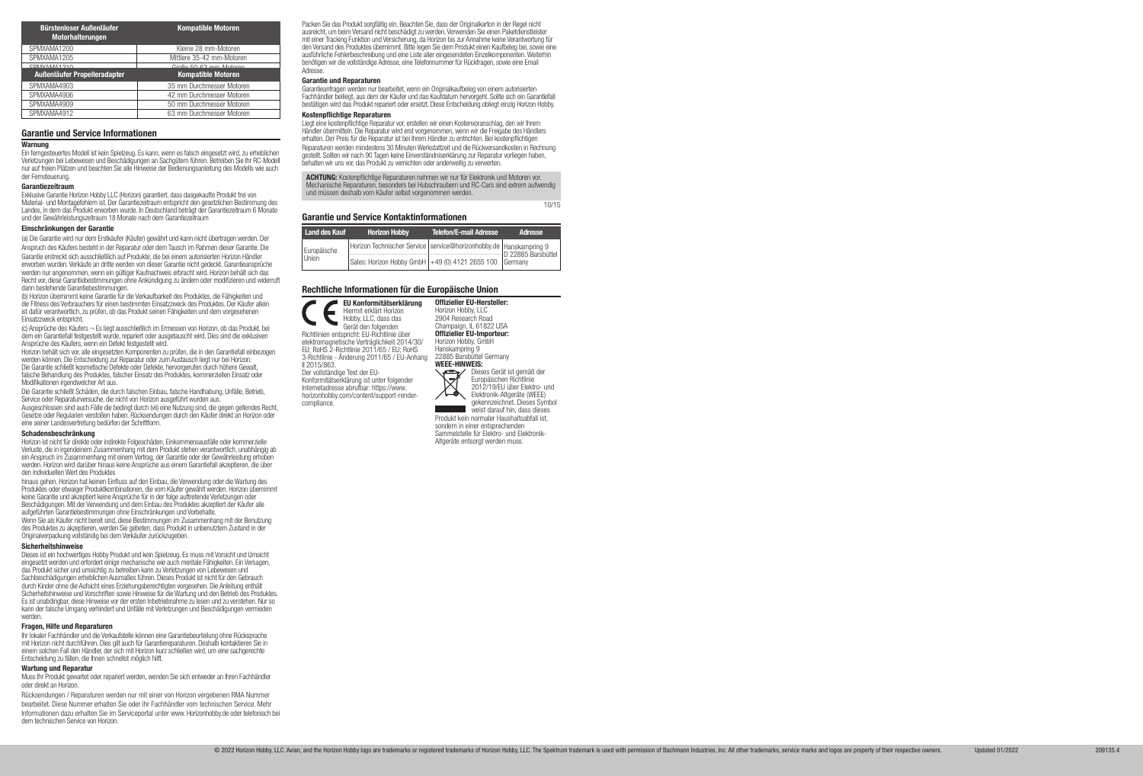Ein ferngesteuertes Modell ist kein Spielzeug. Es kann, wenn es falsch eingesetzt wird, zu erheblichen Verletzungen bei Lebewesen und Beschädigungen an Sachgütern führen. Betreiben Sie Ihr RC-Modell nur auf freien Plätzen und beachten Sie alle Hinweise der Bedienungsanleitung des Modells wie auch der Fernsteuerung.

#### Garantiezeitraum

Exklusive Garantie Horizon Hobby LLC (Horizon) garantiert, dass dasgekaufte Produkt frei von Material- und Montagefehlern ist. Der Garantiezeitraum entspricht den gesetzlichen Bestimmung des Landes, in dem das Produkt erworben wurde. In Deutschland beträgt der Garantiezeitraum 6 Monate und der Gewährleistungszeitraum 18 Monate nach dem Garantiezeitraum

## Einschränkungen der Garantie

(a) Die Garantie wird nur dem Erstkäufer (Käufer) gewährt und kann nicht übertragen werden. Der Anspruch des Käufers besteht in der Reparatur oder dem Tausch im Rahmen dieser Garantie. Die Garantie erstreckt sich ausschließlich auf Produkte, die bei einem autorisierten Horizon Händler erworben wurden. Verkäufe an dritte werden von dieser Garantie nicht gedeckt. Garantieansprüche werden nur angenommen, wenn ein gültiger Kaufnachweis erbracht wird. Horizon behält sich das Recht vor, diese Garantiebestimmungen ohne Ankündigung zu ändern oder modifizieren und widerruft dann bestehende Garantiebestimmungen.

(b) Horizon übernimmt keine Garantie für die Verkaufbarkeit des Produktes, die Fähigkeiten und die Fitness des Verbrauchers für einen bestimmten Einsatzzweck des Produktes. Der Käufer allein ist dafür verantwortlich, zu prüfen, ob das Produkt seinen Fähigkeiten und dem vorgesehenen Einsatzzweck entspricht.

(c) Ansprüche des Käufers ¬ Es liegt ausschließlich im Ermessen von Horizon, ob das Produkt, bei dem ein Garantiefall festgestellt wurde, repariert oder ausgetauscht wird. Dies sind die exklusiven Ansprüche des Käufers, wenn ein Defekt festgestellt wird.

Horizon behält sich vor, alle eingesetzten Komponenten zu prüfen, die in den Garantiefall einbezogen werden können. Die Entscheidung zur Reparatur oder zum Austausch liegt nur bei Horizon. Die Garantie schließt kosmetische Defekte oder Defekte, hervorgerufen durch höhere Gewalt, falsche Behandlung des Produktes, falscher Einsatz des Produktes, kommerziellen Einsatz oder Modifikationen irgendwelcher Art aus.

Die Garantie schließt Schäden, die durch falschen Einbau, falsche Handhabung, Unfälle, Betrieb, Service oder Reparaturversuche, die nicht von Horizon ausgeführt wurden aus.

Ausgeschlossen sind auch Fälle die bedingt durch (vii) eine Nutzung sind, die gegen geltendes Recht, Gesetze oder Regularien verstoßen haben. Rücksendungen durch den Käufer direkt an Horizon oder eine seiner Landesvertretung bedürfen der Schriftform.

#### Schadensbeschränkung

Horizon ist nicht für direkte oder indirekte Folgeschäden, Einkommensausfälle oder kommerzielle Verluste, die in irgendeinem Zusammenhang mit dem Produkt stehen verantwortlich, unabhängig ab ein Anspruch im Zusammenhang mit einem Vertrag, der Garantie oder der Gewährleistung erhoben werden. Horizon wird darüber hinaus keine Ansprüche aus einem Garantiefall akzeptieren, die über den individuellen Wert des Produktes

hinaus gehen. Horizon hat keinen Einfluss auf den Einbau, die Verwendung oder die Wartung des Produktes oder etwaiger Produktkombinationen, die vom Käufer gewählt werden. Horizon übernimmt keine Garantie und akzeptiert keine Ansprüche für in der folge auftretende Verletzungen oder Beschädigungen. Mit der Verwendung und dem Einbau des Produktes akzeptiert der Käufer alle aufgeführten Garantiebestimmungen ohne Einschränkungen und Vorbehalte.

Wenn Sie als Käufer nicht bereit sind, diese Bestimmungen im Zusammenhang mit der Benutzung des Produktes zu akzeptieren, werden Sie gebeten, dass Produkt in unbenutztem Zustand in der Originalverpackung vollständig bei dem Verkäufer zurückzugeben.

## Sicherheitshinweise

Dieses ist ein hochwertiges Hobby Produkt und kein Spielzeug. Es muss mit Vorsicht und Umsicht eingesetzt werden und erfordert einige mechanische wie auch mentale Fähigkeiten. Ein Versagen, das Produkt sicher und umsichtig zu betreiben kann zu Verletzungen von Lebewesen und Sachbeschädigungen erheblichen Ausmaßes führen. Dieses Produkt ist nicht für den Gebrauch durch Kinder ohne die Aufsicht eines Erziehungsberechtigten vorgesehen. Die Anleitung enthält Sicherheitshinweise und Vorschriften sowie Hinweise für die Wartung und den Betrieb des Produktes. Es ist unabdingbar, diese Hinweise vor der ersten Inbetriebnahme zu lesen und zu verstehen. Nur so kann der falsche Umgang verhindert und Unfälle mit Verletzungen und Beschädigungen vermieden werden.

#### Fragen, Hilfe und Reparaturen

Ihr lokaler Fachhändler und die Verkaufstelle können eine Garantiebeurteilung ohne Rücksprache mit Horizon nicht durchführen. Dies gilt auch für Garantiereparaturen. Deshalb kontaktieren Sie in einem solchen Fall den Händler, der sich mit Horizon kurz schließen wird, um eine sachgerechte Entscheidung zu fällen, die Ihnen schnellst möglich hilft.

#### Wartung und Reparatur

Muss Ihr Produkt gewartet oder repariert werden, wenden Sie sich entweder an Ihren Fachhändler oder direkt an Horizon.

Rücksendungen / Reparaturen werden nur mit einer von Horizon vergebenen RMA Nummer bearbeitet. Diese Nummer erhalten Sie oder ihr Fachhändler vom technischen Service. Mehr Informationen dazu erhalten Sie im Serviceportal unter www. Horizonhobby.de oder telefonisch bei dem technischen Service von Horizon.

#### Garantie und Service Informationen

#### Warnung

| <b>Bürstenloser Außenläufer</b><br>Motorhalterungen | <b>Kompatible Motoren</b> |
|-----------------------------------------------------|---------------------------|
| SPMXAMA1200                                         | Kleine 28 mm-Motoren      |
| SPMXAMA1205                                         | Mittlere 35-42 mm-Motoren |
| CDMVAMA1210                                         | Croße 50.62 mm Motoron    |
|                                                     |                           |
| Außenläufer Propelleradapter                        | <b>Kompatible Motoren</b> |
| SPMXAMA4903                                         | 35 mm Durchmesser Motoren |
| SPMXAMA4906                                         | 42 mm Durchmesser Motoren |
| SPMXAMA4909                                         | 50 mm Durchmesser Motoren |

Packen Sie das Produkt sorgfältig ein. Beachten Sie, dass der Originalkarton in der Regel nicht ausreicht, um beim Versand nicht beschädigt zu werden. Verwenden Sie einen Paketdienstleister mit einer Tracking Funktion und Versicherung, da Horizon bis zur Annahme keine Verantwortung für den Versand des Produktes übernimmt. Bitte legen Sie dem Produkt einen Kaufbeleg bei, sowie eine ausführliche Fehlerbeschreibung und eine Liste aller eingesendeten Einzelkomponenten. Weiterhin benötigen wir die vollständige Adresse, eine Telefonnummer für Rückfragen, sowie eine Email Adresse.

### Garantie und Reparaturen

Garantieanfragen werden nur bearbeitet, wenn ein Originalkaufbeleg von einem autorisierten Fachhändler beiliegt, aus dem der Käufer und das Kaufdatum hervorgeht. Sollte sich ein Garantiefall bestätigen wird das Produkt repariert oder ersetzt. Diese Entscheidung obliegt einzig Horizon Hobby.

### Kostennflichtige Reparaturen

Liegt eine kostenpflichtige Reparatur vor, erstellen wir einen Kostenvoranschlag, den wir Ihrem Händler übermitteln. Die Reparatur wird erst vorgenommen, wenn wir die Freigabe des Händlers erhalten. Der Preis für die Reparatur ist bei Ihrem Händler zu entrichten. Bei kostenpflichtigen Reparaturen werden mindestens 30 Minuten Werkstattzeit und die Rückversandkosten in Rechnung gestellt. Sollten wir nach 90 Tagen keine Einverständniserklärung zur Reparatur vorliegen haben, behalten wir uns vor, das Produkt zu vernichten oder anderweitig zu verwerten.

ACHTUNG: Kostenpflichtige Reparaturen nehmen wir nur für Elektronik und Motoren vor. Mechanische Reparaturen, besonders bei Hubschraubern und RC-Cars sind extrem aufwendig und müssen deshalb vom Käufer selbst vorgenommen werden.

10/15

| Land des Kauf        | <b>Horizon Hobby</b>                                               | <b>Telefon/E-mail Adresse</b> | Adresse |
|----------------------|--------------------------------------------------------------------|-------------------------------|---------|
| Europäische<br>Union | Horizon Technischer Service Service@horizonhobby.de Hanskampring 9 |                               |         |
|                      | Sales: Horizon Hobby GmbH +49 (0) 4121 2655 100 Germany            |                               |         |

## Rechtliche Informationen für die Europäische Union

### Garantie und Service Kontaktinformationen

EU Konformitätserklärung Hiermit erklärt Horizon Hobby, LLC, dass das Gerät den folgenden Richtlinien entspricht: EU-Richtlinie über elektromagnetische Verträglichkeit 2014/30/ EU; RoHS 2-Richtlinie 2011/65 / EU; RoHS 3-Richtlinie - Änderung 2011/65 / EU-Anhang II 2015/863. Der vollständige Text der EU-Konformitätserklärung ist unter folgender Internetadresse abrufbar: https://www. horizonhobby.com/content/support-rendercompliance.

Offizieller EU-Hersteller: Horizon Hobby, LLC 2904 Research Road Champaign, IL 61822 USA Offizieller EU-Importeur: Horizon Hobby, GmbH Hanskampring 9 22885 Barsbüttel Germany



Dieses Gerät ist gemäß der Europäischen Richtlinie 2012/19/EU über Elektro- und Elektronik-Altgeräte (WEEE) gekennzeichnet. Dieses Symbol weist darauf hin, dass dieses

Produkt kein normaler Haushaltsabfall ist, sondern in einer entsprechenden Sammelstelle für Elektro- und Elektronik-Altgeräte entsorgt werden muss.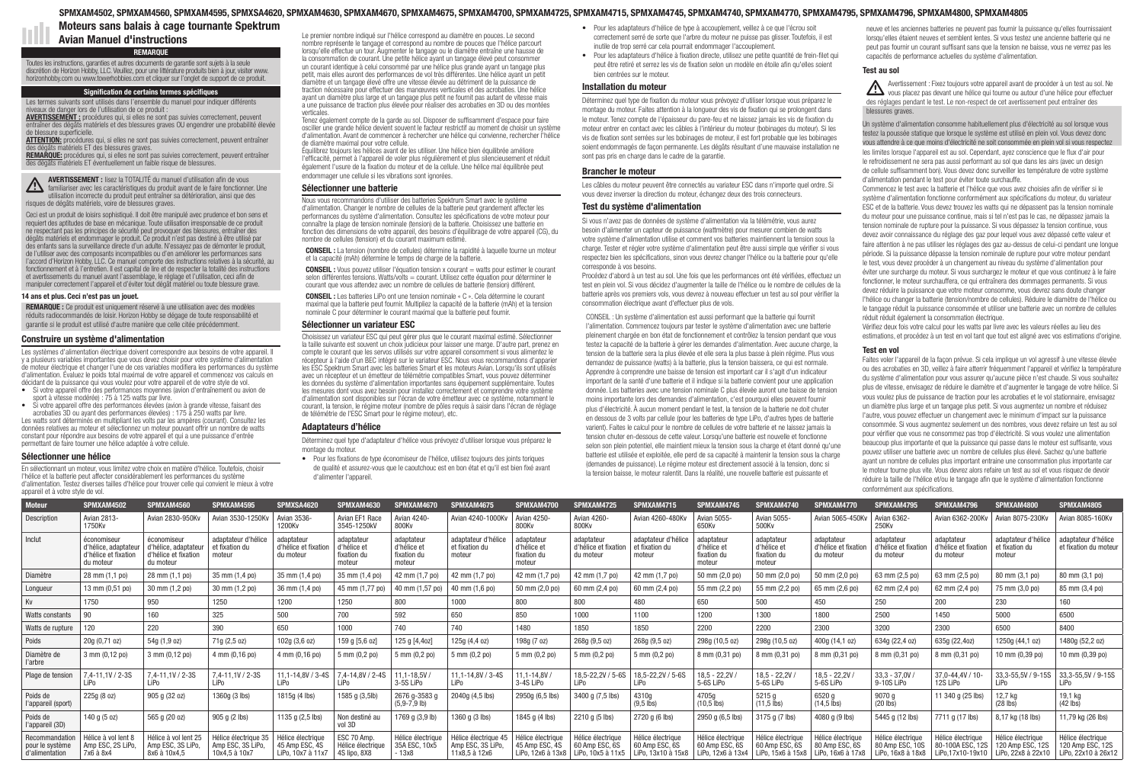# Construire un système d'alimentation

Les systèmes d'alimentation électrique doivent correspondre aux besoins de votre appareil. Il y a plusieurs variables importantes que vous devez choisir pour votre système d'alimentation de moteur électrique et changer l'une de ces variables modifiera les performances du système d'alimentation. Évaluez le poids total maximal de votre appareil et commencez vos calculs en décidant de la puissance qui vous voulez pour votre appareil et de votre style de vol.

- Si votre appareil offre des performances moyennes (avion d'entraînement ou avion de sport à vitesse modérée) : 75 à 125 watts par livre.
- Si votre appareil offre des performances élevées (avion à grande vitesse, faisant des acrobaties 3D ou ayant des performances élevées) : 175 à 250 watts par livre.

Les watts sont déterminés en multipliant les volts par les ampères (courant). Consultez les données relatives au moteur et sélectionnez un moteur pouvant offrir un nombre de watts constant pour répondre aux besoins de votre appareil et qui a une puissance d'entrée permettant de faire tourner une hélice adaptée à votre cellule.

## Sélectionner une hélice

En sélectionnant un moteur, vous limitez votre choix en matière d'hélice. Toutefois, choisir l'hélice et la batterie peut affecter considérablement les performances du système d'alimentation. Testez diverses tailles d'hélice pour trouver celle qui convient le mieux à votre appareil et à votre style de vol.

# SPMXAM4502, SPMXAM4560, SPMXAM4595, SPMXSA4620, SPMXAM4630, SPMXAM4670, SPMXAM4675, SPMXAM4700, SPMXAM4725, SPMXAM4715, SPMXAM4745, SPMXAM4740, SPMXAM4770, SPMXAM4795, SPMXAM4796, SPMXAM4800, SPMXAM4805

Le premier nombre indiqué sur l'hélice correspond au diamètre en pouces. Le second nombre représente le tangage et correspond au nombre de pouces que l'hélice parcourt lorsqu'elle effectue un tour. Augmenter le tangage ou le diamètre entraîne une hausse de la consommation de courant. Une petite hélice ayant un tangage élevé peut consommer un courant identique à celui consommé par une hélice plus grande ayant un tangage plus petit, mais elles auront des performances de vol très différentes. Une hélice ayant un petit diamètre et un tangage élevé offre une vitesse élevée au détriment de la puissance de traction nécessaire pour effectuer des manœuvres verticales et des acrobaties. Une hélice ayant un diamètre plus large et un tangage plus petit ne fournit pas autant de vitesse mais a une puissance de traction plus élevée pour réaliser des acrobaties en 3D ou des montées verticales.

Tenez également compte de la garde au sol. Disposer de suffisamment d'espace pour faire osciller une grande hélice devient souvent le facteur restrictif au moment de choisir un système d'alimentation. Avant de commencer à rechercher une hélice qui convienne, rechercher l'hélice de diamètre maximal pour votre cellule.

Équilibrez toujours les hélices avant de les utiliser. Une hélice bien équilibrée améliore l'efficacité, permet à l'appareil de voler plus régulièrement et plus silencieusement et réduit également l'usure de la fixation du moteur et de la cellule. Une hélice mal équilibrée peut endommager une cellule si les vibrations sont ignorées.

## Sélectionner une batterie

Nous vous recommandons d'utiliser des batteries Spektrum Smart avec le système d'alimentation. Changer le nombre de cellules de la batterie peut grandement affecter les performances du système d'alimentation. Consultez les spécifications de votre moteur pour connaître la plage de tension nominale (tension) de la batterie. Choisissez une batterie en fonction des dimensions de votre appareil, des besoins d'équilibrage de votre appareil (CG), du nombre de cellules (tension) et du courant maximum estimé.

CONSEIL : La tension (nombre de cellules) détermine la rapidité à laquelle tourne un moteur et la capacité (mAh) détermine le temps de charge de la batterie.

CONSEIL : Vous pouvez utiliser l'équation tension x courant = watts pour estimer le courant selon différentes tensions. Watts/volts = courant. Utilisez cette équation pour déterminer le courant que vous attendez avec un nombre de cellules de batterie (tension) différent.

CONSEIL : Les batteries LiPo ont une tension nominale « C ». Cela détermine le courant maximal que la batterie peut fournir. Multipliez la capacité de la batterie (mAh) et la tension nominale C pour déterminer le courant maximal que la batterie peut fournir.

## Sélectionner un variateur ESC

Choisissez un variateur ESC qui peut gérer plus que le courant maximal estimé. Sélectionner la taille suivante est souvent un choix judicieux pour laisser une marge. D'autre part, prenez en compte le courant que les servos utilisés sur votre appareil consomment si vous alimentez le récepteur à l'aide d'un BEC intégré sur le variateur ESC. Nous vous recommandons d'apparier les ESC Spektrum Smart avec les batteries Smart et les moteurs Avian. Lorsqu'ils sont utilisés avec un récepteur et un émetteur de télémétrie compatibles Smart, vous pouvez déterminer les données du système d'alimentation importantes sans équipement supplémentaire. Toutes les mesures dont vous avez besoin pour installez correctement et comprendre votre système d'alimentation sont disponibles sur l'écran de votre émetteur avec ce système, notamment le courant, la tension, le régime moteur (nombre de pôles requis à saisir dans l'écran de réglage de télémétrie de l'ESC Smart pour le régime moteur), etc.

## Adaptateurs d'hélice

Déterminez quel type d'adaptateur d'hélice vous prévoyez d'utiliser lorsque vous préparez le montage du moteur.

• Pour les fixations de type économiseur de l'hélice, utilisez toujours des joints toriques de qualité et assurez-vous que le caoutchouc est en bon état et qu'il est bien fixé avant d'alimenter l'appareil.

- Pour les adaptateurs d'hélice de type à accouplement, veillez à ce que l'écrou soit correctement serré de sorte que l'arbre du moteur ne puisse pas glisser. Toutefois, il est inutile de trop serré car cela pourrait endommager l'accouplement.
- Pour les adaptateurs d'hélice à fixation directe, utilisez une petite quantité de frein-filet qui peut être retiré et serrez les vis de fixation selon un modèle en étoile afin qu'elles soient bien centrées sur le moteur.

# Installation du moteur

Déterminez quel type de fixation du moteur vous prévoyez d'utiliser lorsque vous préparez le montage du moteur. Faites attention à la longueur des vis de fixation qui se prolongent dans le moteur. Tenez compte de l'épaisseur du pare-feu et ne laissez jamais les vis de fixation du moteur entrer en contact avec les câbles à l'intérieur du moteur (bobinages du moteur). Si les vis de fixation sont serrées sur les bobinages de moteur, il est fort probable que les bobinages soient endommagés de façon permanente. Les dégâts résultant d'une mauvaise installation ne sont pas pris en charge dans le cadre de la garantie.

## Brancher le moteur

REMARQUE : Ce produit est uniquement réservé à une utilisation avec des modèles réduits radiocommandés de loisir. Horizon Hobby se dégage de toute responsabilité et garantie si le produit est utilisé d'autre manière que celle citée précédemment.

Les câbles du moteur peuvent être connectés au variateur ESC dans n'importe quel ordre. Si vous devez inverser la direction du moteur, échangez deux des trois connecteurs.

## Test du système d'alimentation

**AVERTISSEMENT :** procédures qui, si elles ne sont pas suivies correctement, peuvent entraîner des dégâts matériels et des blessures graves OU engendrer une probabilité élevée de blessure superficielle.

> Si vous n'avez pas de données de système d'alimentation via la télémétrie, vous aurez besoin d'alimenter un capteur de puissance (wattmètre) pour mesurer combien de watts votre système d'alimentation utilise et comment vos batteries maintiennent la tension sous la charge. Tester et régler votre système d'alimentation peut être aussi simple que vérifier si vous respectez bien les spécifications, sinon vous devrez changer l'hélice ou la batterie pour qu'elle corresponde à vos besoins.

**ATTENTION:** procédures qui, si elles ne sont pas suivies correctement, peuvent entraîner des dégâts matériels ET des blessures graves.

AVERTISSEMENT : lisez la TOTALITÉ du manuel d'utilisation afin de vous familiariser avec les caractéristiques du produit avant de le faire fonctionner. Une utilisation incorrecte du produit peut entraîner sa détérioration, ainsi que des risques de dégâts matériels, voire de blessures graves.

> Procédez d'abord à un test au sol. Une fois que les performances ont été vérifiées, effectuez un test en plein vol. Si vous décidez d'augmenter la taille de l'hélice ou le nombre de cellules de la batterie après vos premiers vols, vous devrez à nouveau effectuer un test au sol pour vérifier la consommation électrique avant d'effectuer plus de vols.

CONSEIL : Un système d'alimentation est aussi performant que la batterie qui fournit l'alimentation. Commencez toujours par tester le système d'alimentation avec une batterie pleinement chargée en bon état de fonctionnement et contrôlez la tension pendant que vous testez la capacité de la batterie à gérer les demandes d'alimentation. Avec aucune charge, la tension de la batterie sera la plus élevée et elle sera la plus basse à plein régime. Plus vous demandez de puissance (watts) à la batterie, plus la tension baissera, ce qui est normale. Apprendre à comprendre une baisse de tension est important car il s'agit d'un indicateur important de la santé d'une batterie et il indique si la batterie convient pour une application donnée. Les batteries avec une tension nominale C plus élevée auront une baisse de tension moins importante lors des demandes d'alimentation, c'est pourquoi elles peuvent fournir plus d'électricité. À aucun moment pendant le test, la tension de la batterie ne doit chuter en dessous de 3 volts par cellule (pour les batteries de type LiPo, d'autres types de batterie varient). Faites le calcul pour le nombre de cellules de votre batterie et ne laissez jamais la tension chuter en-dessous de cette valeur. Lorsqu'une batterie est nouvelle et fonctionne selon son plein potentiel, elle maintient mieux la tension sous la charge et étant donné qu'une batterie est utilisée et exploitée, elle perd de sa capacité à maintenir la tension sous la charge (demandes de puissance). Le régime moteur est directement associé à la tension, donc si la tension baisse, le moteur ralentit. Dans la réalité, une nouvelle batterie est puissante et

neuve et les anciennes batteries ne peuvent pas fournir la puissance qu'elles fournissaient lorsqu'elles étaient neuves et semblent lentes. Si vous testez une ancienne batterie qui ne peut pas fournir un courant suffisant sans que la tension ne baisse, vous ne verrez pas les capacités de performance actuelles du système d'alimentation.

# Test au sol

Avertissement : Fixez toujours votre appareil avant de procéder à un test au sol. Ne vous placez pas devant une hélice qui tourne ou autour d'une hélice pour effectuer des réglages pendant le test. Le non-respect de cet avertissement peut entraîner des blessures graves.

Un système d'alimentation consomme habituellement plus d'électricité au sol lorsque vous testez la poussée statique que lorsque le système est utilisé en plein vol. Vous devez donc vous attendre à ce que moins d'électricité ne soit consommée en plein vol si vous respectez les limites lorsque l'appareil est au sol. Cependant, ayez conscience que le flux d'air pour le refroidissement ne sera pas aussi performant au sol que dans les airs (avec un design de cellule suffisamment bon). Vous devez donc surveiller les température de votre système d'alimentation pendant le test pour éviter toute surchauffe.

Commencez le test avec la batterie et l'hélice que vous avez choisies afin de vérifier si le système d'alimentation fonctionne conformément aux spécifications du moteur, du variateur ESC et de la batterie. Vous devez trouvez les watts qui ne dépassent pas la tension nominale du moteur pour une puissance continue, mais si tel n'est pas le cas, ne dépassez jamais la tension nominale de rupture pour la puissance. Si vous dépassez la tension continue, vous devez avoir connaissance du réglage des gaz pour lequel vous avez dépassé cette valeur et faire attention à ne pas utiliser les réglages des gaz au-dessus de celui-ci pendant une longue période. Si la puissance dépasse la tension nominale de rupture pour votre moteur pendant le test, vous devez procéder à un changement au niveau du système d'alimentation pour éviter une surcharge du moteur. Si vous surchargez le moteur et que vous continuez à le faire fonctionner, le moteur surchauffera, ce qui entraînera des dommages permanents. Si vous devez réduire la puissance que votre moteur consomme, vous devrez sans doute changer l'hélice ou changer la batterie (tension/nombre de cellules). Réduire le diamètre de l'hélice ou le tangage réduit la puissance consommée et utiliser une batterie avec un nombre de cellules réduit réduit également la consommation électrique.

Vérifiez deux fois votre calcul pour les watts par livre avec les valeurs réelles au lieu des estimations, et procédez à un test en vol tant que tout est aligné avec vos estimations d'origine.

# Test en vol

Faites voler l'appareil de la façon prévue. Si cela implique un vol agressif à une vitesse élevée ou des acrobaties en 3D, veillez à faire atterrir fréquemment l'appareil et vérifiez la température du système d'alimentation pour vous assurer qu'aucune pièce n'est chaude. Si vous souhaitez plus de vitesse, envisagez de réduire le diamètre et d'augmenter le tangage de votre hélice. Si vous voulez plus de puissance de traction pour les acrobaties et le vol stationnaire, envisagez un diamètre plus large et un tangage plus petit. Si vous augmentez un nombre et réduisez l'autre, vous pouvez effectuer un changement avec le minimum d'impact sur la puissance consommée. Si vous augmentez seulement un des nombres, vous devez refaire un test au sol pour vérifier que vous ne consommez pas trop d'électricité. Si vous voulez une alimentation beaucoup plus importante et que la puissance qui passe dans le moteur est suffisante, vous pouvez utiliser une batterie avec un nombre de cellules plus élevé. Sachez qu'une batterie ayant un nombre de cellules plus important entraine une consommation plus importante car le moteur tourne plus vite. Vous devrez alors refaire un test au sol et vous risquez de devoir réduire la taille de l'hélice et/ou le tangage afin que le système d'alimentation fonctionne conformément aux spécifications.

## 14 ans et plus. Ceci n'est pas un jouet.

# REMARQUE

Toutes les instructions, garanties et autres documents de garantie sont sujets à la seule discrétion de Horizon Hobby, LLC. Veuillez, pour une littérature produits bien à jour, visiter www. horizonhobby.com ou www.towerhobbies.com et cliquer sur l'onglet de support de ce produit.

## Signification de certains termes spécifiques

Les termes suivants sont utilisés dans l'ensemble du manuel pour indiquer différents niveaux de danger lors de l'utilisation de ce produit :

REMARQUE: procédures qui, si elles ne sont pas suivies correctement, peuvent entraîner des dégâts matériels ET éventuellement un faible risque de blessures.

Ceci est un produit de loisirs sophistiqué. Il doit être manipulé avec prudence et bon sens et requiert des aptitudes de base en mécanique. Toute utilisation irresponsable de ce produit ne respectant pas les principes de sécurité peut provoquer des blessures, entraîner des dégâts matériels et endommager le produit. Ce produit n'est pas destiné à être utilisé par des enfants sans la surveillance directe d'un adulte. N'essayez pas de démonter le produit, de l'utiliser avec des composants incompatibles ou d'en améliorer les performances sans l'accord d'Horizon Hobby, LLC. Ce manuel comporte des instructions relatives à la sécurité, au fonctionnement et à l'entretien. Il est capital de lire et de respecter la totalité des instructions et avertissements du manuel avant l'assemblage, le réglage et l'utilisation, ceci afin de manipuler correctement l'appareil et d'éviter tout dégât matériel ou toute blessure grave.

Moteurs sans balais à cage tournante Spektrum

Avian Manuel d'instructions

| Moteur                                              | SPMXAM4502                                                               | SPMXAM4560                                                               | SPMXAM4595                                                 | SPMXSA4620                                              | SPMXAM4630                                        | SPMXAM4670                                         | SPMXAM4675                                                 | SPMXAM4700                                        | SPMXAM4725                                      | SPMXAM4715                                                                                        | SPMXAM4745                                               | SPMXAM4740                                               | SPMXAM4770                                               | SPMXAM4795                                      | SPMXAM4796                                                                                                              | SPMXAM4800                                      | SPMXAM4805                                                   |
|-----------------------------------------------------|--------------------------------------------------------------------------|--------------------------------------------------------------------------|------------------------------------------------------------|---------------------------------------------------------|---------------------------------------------------|----------------------------------------------------|------------------------------------------------------------|---------------------------------------------------|-------------------------------------------------|---------------------------------------------------------------------------------------------------|----------------------------------------------------------|----------------------------------------------------------|----------------------------------------------------------|-------------------------------------------------|-------------------------------------------------------------------------------------------------------------------------|-------------------------------------------------|--------------------------------------------------------------|
| Description                                         | Avian 2813-<br>1750Kv                                                    | Avian 2830-950Kv                                                         | Avian 3530-1250K\                                          | Avian 3536-<br>1200Kv                                   | Avian EF1 Race<br>3545-1250kV                     | Avian 4240-<br>800Kv                               | Avian 4240-1000K                                           | Avian 4250-<br>800Kv                              | Avian 4260-<br>800Kv                            | Avian 4260-480Kv                                                                                  | Avian 5055-<br>650Kv                                     | Avian 5055-<br>500Kv                                     | Avian 5065-450Kv                                         | Avian 6362-<br>250Kv                            | Avian 6362-200Kv                                                                                                        | Avian 8075-230Kv                                | Avian 8085-160Kv                                             |
| Inclut                                              | économiseur<br>d'hélice, adaptateur<br>d'hélice et fixation<br>du moteur | économiseur<br>d'hélice, adaptateur<br>d'hélice et fixation<br>du moteur | adaptateur d'hélice<br>et fixation du<br>moteur            | adaptateur<br>d'hélice et fixation<br>du moteu          | adaptateur<br>d'hélice e<br>fixation du<br>moteur | adaptateur<br>d'hélice et<br>fixation du<br>moteur | adaptateur d'hélice<br>et fixation du<br>moteur            | adaptateu<br>d'hélice et<br>fixation du<br>moteur | adaptateur<br>d'hélice et fixation<br>du moteur | adaptateur d'hélice<br>et fixation du<br>moteur                                                   | adaptateur<br>d'hélice et<br>fixation du<br>moteur       | adaptateur<br>d'hélice et<br>fixation du<br>moteur       | adaptateur<br>d'hélice et fixation<br>du moteur          | adaptateur<br>d'hélice et fixation<br>du moteur | adaptateur<br>d'hélice et fixation<br>du moteur                                                                         | adaptateur d'hélice<br>et fixation du<br>moteur | adaptateur d'hélice<br>et fixation du moteur                 |
| Diamètre                                            | 28 mm (1,1 po)                                                           | 28 mm (1,1 po)                                                           | 35 mm (1,4 po)                                             | 35 mm (1,4 po)                                          | 35 mm (1,4 po)                                    | 42 mm (1,7 po)                                     | 42 mm (1,7 po)                                             | 42 mm (1,7 po)                                    | 42 mm (1,7 po)                                  | 42 mm (1,7 po)                                                                                    | 50 mm (2,0 po)                                           | 50 mm (2,0 po)                                           | 50 mm (2,0 po)                                           | 63 mm (2,5 po)                                  | 63 mm (2,5 po)                                                                                                          | 80 mm (3,1 po)                                  | 80 mm (3,1 po)                                               |
| Longueur                                            | 13 mm (0,51 po)                                                          | 30 mm (1,2 po)                                                           | 30 mm (1,2 po)                                             | 36 mm (1,4 po)                                          | 45 mm (1,77 po                                    | 40 mm (1,57 po)                                    | 40 mm (1,6 po)                                             | 50 mm (2,0 po)                                    | 60 mm (2,4 po)                                  | 60 mm (2,4 po)                                                                                    | 55 mm (2,2 po)                                           | 55 mm (2,2 po)                                           | 65 mm (2,6 po)                                           | 62 mm (2,4 po)                                  | 62 mm (2,4 po)                                                                                                          | 75 mm (3,0 po)                                  | 85 mm (3,4 po)                                               |
| Kv                                                  | 1750                                                                     | 950                                                                      | 1250                                                       | 1200                                                    | 1250                                              | 800                                                | 1000                                                       | 800                                               |                                                 | 480                                                                                               | 650                                                      | 500                                                      | 450                                                      | 250                                             | 200                                                                                                                     | 230                                             | 160                                                          |
| Watts constants                                     | 90                                                                       | 160                                                                      | 325                                                        | 500                                                     | 700                                               | 592                                                | 650                                                        | 850                                               | 1000                                            | 1100                                                                                              | 1200                                                     | 1300                                                     | 1800                                                     | 2500                                            | 1450                                                                                                                    | 5000                                            | 6500                                                         |
| Watts de rupture                                    | 120                                                                      | 220                                                                      | 390                                                        | 650                                                     | 1000                                              | 740                                                | 740                                                        | 1480                                              | 1850                                            | 1850                                                                                              | 2200                                                     | 2200                                                     | 2300                                                     | 3200                                            | 2300                                                                                                                    | 6500                                            | 8400                                                         |
| Poids                                               | 20g (0,71 oz)                                                            | 54g (1,9 oz)                                                             | 71g (2,5 oz)                                               | 102g (3,6 oz)                                           | 159 g [5,6 oz]                                    | 125 g [4,4oz]                                      | 125g (4,4 oz)                                              | 198g (7 oz)                                       | 268g (9,5 oz)                                   | 268g (9,5 oz)                                                                                     | 298g (10,5 oz)                                           | 298g (10,5 oz)                                           | 400g (14,1 oz)                                           | 634g (22,4 oz)                                  | 635g (22,40z)                                                                                                           | 1250g (44,1 oz)                                 | 1480g (52,2 oz)                                              |
| Diamètre de<br>l'arbre                              | 3 mm (0,12 po)                                                           | 3 mm (0,12 po)                                                           | 4 mm (0,16 po)                                             | 4 mm (0,16 po)                                          | 5 mm (0,2 po)                                     | 5 mm (0,2 po)                                      | 5 mm (0,2 po)                                              | 5 mm (0,2 po)                                     | 5 mm (0,2 po)                                   | 5 mm (0,2 po)                                                                                     | 8 mm (0,31 po)                                           | 8 mm (0,31 po)                                           | 8 mm (0,31 po)                                           | 8 mm (0,31 po)                                  | 8 mm (0,31 po)                                                                                                          | 10 mm (0,39 po)                                 | 10 mm (0,39 po)                                              |
| Plage de tension                                    | 7,4-11,1V / 2-3S<br>LiPo                                                 | 7,4-11,1V / 2-3S<br>LiPo                                                 | 7,4-11,1V / 2-3S<br>LiPo                                   | 11,1-14,8V / 3-4S<br>LiPo                               | 7,4-14,8V / 2-4S<br>LiPo                          | $1,1 - 18,5V/$<br>3-5S LiPo                        | 11,1-14,8V / 3-4S<br>LiPo                                  | 11,1-14,8V<br>3-4S LiPo                           | 18,5-22,2V / 5-6S<br>LiPo                       | 18,5-22,2V / 5-6S<br>LiPo                                                                         | $18.5 - 22.2V/$<br>5-6S LiPo                             | $18.5 - 22.2V/$<br>5-6S LiPo                             | $18.5 - 22.2V/$<br>5-6S LiPo                             | $33.3 - 37.0V$<br>9-10S LiPo                    | 37,0-44,4V / 10-<br>12S LiPo                                                                                            | 33, 3-55, 5V / 9-15S<br>LiPo                    | 33, 3-55, 5V / 9-15S<br>LiPo                                 |
| Poids de<br>l'appareil (sport)                      | 225g (8 oz)                                                              | 905 g (32 oz)                                                            | 1360g (3 lbs)                                              | 1815g (4 lbs)                                           | 1585 g (3,5lb)                                    | 2676 g-3583 g<br>$(5,9-7,9$ lb)                    | 2040g (4,5 lbs)                                            | 2950g (6,5 lbs)                                   | 3400 g (7,5 lbs)                                | 4310g<br>$(9,5$ lbs)                                                                              | 4705g<br>$(10, 5$ lbs)                                   | 5215q<br>$(11, 5$ lbs)                                   | 6520 g<br>$(14, 5$ lbs)                                  | 9070 q<br>$(20$ lbs)                            | 11 340 g (25 lbs)                                                                                                       | 12.7 kg<br>$(28$ lbs)                           | 19,1 kg<br>$(42$ lbs)                                        |
| Poids de<br>l'appareil (3D)                         | 140 g $(5 \text{ oz})$                                                   | 565 g (20 oz)                                                            | 905 g (2 lbs)                                              | 1135 g (2,5 lbs)                                        | Non destiné au<br>vol 3D                          | 1769 g (3,9 lb)                                    | 1360 g (3 lbs)                                             | 1845 g (4 lbs)                                    | $2210 g (5$ lbs)                                | 2720 g (6 lbs)                                                                                    | 2950 g (6,5 lbs)                                         | 3175 g (7 lbs)                                           | 4080 g (9 lbs)                                           | 5445 g (12 lbs)                                 | 7711 g (17 lbs)                                                                                                         | 8,17 kg (18 lbs)                                | 11,79 kg (26 lbs)                                            |
| Recommandation<br>pour le système<br>d'alimentation | Hélice à vol lent<br>Amp ESC, 2S LiPo,<br>7x6 à 8x4                      | Hélice à vol lent 25<br>Amp ESC, 3S LiPo,<br>8x6 à 10x4,5                | Hélice électrique 35<br>Amp ESC, 3S LiPo,<br>10x4,5 à 10x7 | Hélice électriqu<br>45 Amp ESC, 4S<br>LiPo, 10x7 à 11x7 | ESC 70 Amp.<br>Hélice électrique<br>4S lipo, 8X8  | Hélice électrique<br>35A ESC, 10x5<br>13x8         | Hélice électrique 45<br>Amp ESC, 3S LiPo,<br>11x8.5 à 12x6 | Hélice électrique<br>45 Amp ESC, 4S               | Hélice électrique<br>60 Amp ESC, 6S             | Hélice électrique<br>60 Amp ESC, 6S<br>LiPo, 12x6 à 13x8   LiPo, 10x5 à 11x5   LiPo, 13x10 à 15x8 | Hélice électrique<br>60 Amp ESC, 6S<br>LiPo, 12x6 à 13x4 | Hélice électrique<br>60 Amp ESC, 6S<br>LiPo, 15x6 à 15x8 | Hélice électrique<br>80 Amp ESC, 6S<br>LiPo, 16x6 à 17x8 | Hélice électrique                               | Hélice électrique<br>80 Amp ESC, 10S   80-100A ESC, 12S  <br>LiPo, 16x8 à 18x8   LiPo, 17x10-19x10   LiPo, 22x8 à 22x10 | Hélice électrique<br>120 Amp ESC, 12S           | Hélice électrique<br>120 Amp ESC, 12S<br>LiPo, 22x10 à 26x12 |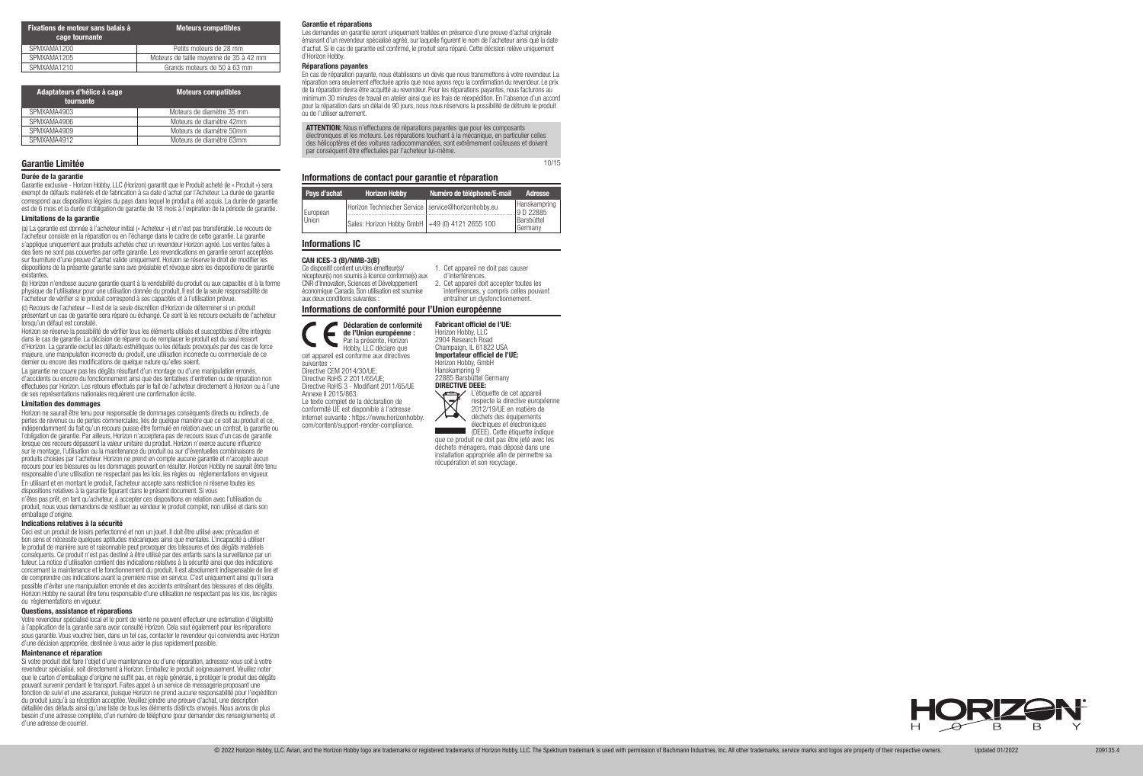| Fixations de moteur sans balais à<br>cage tournante | <b>Moteurs compatibles</b>              |
|-----------------------------------------------------|-----------------------------------------|
| SPMXAMA1200                                         | Petits moteurs de 28 mm                 |
| SPMXAMA1205                                         | Moteurs de taille moyenne de 35 à 42 mm |
| SPMXAMA1210                                         | Grands moteurs de 50 à 63 mm            |

| Adaptateurs d'hélice à cage<br>tournante | <b>Moteurs compatibles</b> |
|------------------------------------------|----------------------------|
| SPMXAMA4903                              | Moteurs de diamètre 35 mm  |
| SPMXAMA4906                              | Moteurs de diamètre 42mm   |
| SPMXAMA4909                              | Moteurs de diamètre 50mm   |
| SPMXAMA4912                              | Moteurs de diamètre 63mm   |

### Durée de la garantie

Garantie exclusive - Horizon Hobby, LLC (Horizon) garantit que le Produit acheté (le « Produit ») sera exempt de défauts matériels et de fabrication à sa date d'achat par l'Acheteur. La durée de garantie correspond aux dispositions légales du pays dans lequel le produit a été acquis. La durée de garantie est de 6 mois et la durée d'obligation de garantie de 18 mois à l'expiration de la période de garantie.

#### Limitations de la garantie

(a) La garantie est donnée à l'acheteur initial (« Acheteur ») et n'est pas transférable. Le recours de l'acheteur consiste en la réparation ou en l'échange dans le cadre de cette garantie. La garantie s'applique uniquement aux produits achetés chez un revendeur Horizon agréé. Les ventes faites à des tiers ne sont pas couvertes par cette garantie. Les revendications en garantie seront acceptées sur fourniture d'une preuve d'achat valide uniquement. Horizon se réserve le droit de modifier les dispositions de la présente garantie sans avis préalable et révoque alors les dispositions de garantie existantes.

Horizon ne saurait être tenu pour responsable de dommages conséquents directs ou indirects, de pertes de revenus ou de pertes commerciales, liés de quelque manière que ce soit au produit et ce, indépendamment du fait qu'un recours puisse être formulé en relation avec un contrat, la garantie ou l'obligation de garantie. Par ailleurs, Horizon n'acceptera pas de recours issus d'un cas de garantie lorsque ces recours dépassent la valeur unitaire du produit. Horizon n'exerce aucune influence sur le montage, l'utilisation ou la maintenance du produit ou sur d'éventuelles combinaisons de produits choisies par l'acheteur. Horizon ne prend en compte aucune garantie et n'accepte aucun recours pour les blessures ou les dommages pouvant en résulter. Horizon Hobby ne saurait être tenu responsable d'une utilisation ne respectant pas les lois, les règles ou règlementations en vigueur. En utilisant et en montant le produit, l'acheteur accepte sans restriction ni réserve toutes les dispositions relatives à la garantie figurant dans le présent document. Si vous n'êtes pas prêt, en tant qu'acheteur, à accepter ces dispositions en relation avec l'utilisation du produit, nous vous demandons de restituer au vendeur le produit complet, non utilisé et dans son emballage d'origine.

(b) Horizon n'endosse aucune garantie quant à la vendabilité du produit ou aux capacités et à la forme physique de l'utilisateur pour une utilisation donnée du produit. Il est de la seule responsabilité de l'acheteur de vérifier si le produit correspond à ses capacités et à l'utilisation prévue.

(c) Recours de l'acheteur – Il est de la seule discrétion d'Horizon de déterminer si un produit présentant un cas de garantie sera réparé ou échangé. Ce sont là les recours exclusifs de l'acheteur lorsqu'un défaut est constaté.

Horizon se réserve la possibilité de vérifier tous les éléments utilisés et susceptibles d'être intégrés dans le cas de garantie. La décision de réparer ou de remplacer le produit est du seul ressort d'Horizon. La garantie exclut les défauts esthétiques ou les défauts provoqués par des cas de force majeure, une manipulation incorrecte du produit, une utilisation incorrecte ou commerciale de ce dernier ou encore des modifications de quelque nature qu'elles soient.

La garantie ne couvre pas les dégâts résultant d'un montage ou d'une manipulation erronés, d'accidents ou encore du fonctionnement ainsi que des tentatives d'entretien ou de réparation non effectuées par Horizon. Les retours effectués par le fait de l'acheteur directement à Horizon ou à l'une de ses représentations nationales requièrent une confirmation écrite.

#### Limitation des dommages

ATTENTION: Nous n'effectuons de réparations payantes que pour les composants électroniques et les moteurs. Les réparations touchant à la mécanique, en particulier celles des hélicoptères et des voitures radiocommandées, sont extrêmement coûteuses et doivent par conséquent être effectuées par l'acheteur lui-même.

#### Indications relatives à la sécurité

Ceci est un produit de loisirs perfectionné et non un jouet. Il doit être utilisé avec précaution et bon sens et nécessite quelques aptitudes mécaniques ainsi que mentales. L'incapacité à utiliser le produit de manière sure et raisonnable peut provoquer des blessures et des dégâts matériels conséquents. Ce produit n'est pas destiné à être utilisé par des enfants sans la surveillance par un tuteur. La notice d'utilisation contient des indications relatives à la sécurité ainsi que des indications concernant la maintenance et le fonctionnement du produit. Il est absolument indispensable de lire et de comprendre ces indications avant la première mise en service. C'est uniquement ainsi qu'il sera possible d'éviter une manipulation erronée et des accidents entraînant des blessures et des dégâts. Horizon Hobby ne saurait être tenu responsable d'une utilisation ne respectant pas les lois, les règles ou règlementations en vigueur.

#### Questions, assistance et réparations

Votre revendeur spécialisé local et le point de vente ne peuvent effectuer une estimation d'éligibilité à l'application de la garantie sans avoir consulté Horizon. Cela vaut également pour les réparations sous garantie. Vous voudrez bien, dans un tel cas, contacter le revendeur qui conviendra avec Horizon d'une décision appropriée, destinée à vous aider le plus rapidement possible.

#### Maintenance et réparation

Si votre produit doit faire l'objet d'une maintenance ou d'une réparation, adressez-vous soit à votre revendeur spécialisé, soit directement à Horizon. Emballez le produit soigneusement. Veuillez noter que le carton d'emballage d'origine ne suffit pas, en règle générale, à protéger le produit des dégâts pouvant survenir pendant le transport. Faites appel à un service de messagerie proposant une fonction de suivi et une assurance, puisque Horizon ne prend aucune responsabilité pour l'expédition du produit jusqu'à sa réception acceptée. Veuillez joindre une preuve d'achat, une description détaillée des défauts ainsi qu'une liste de tous les éléments distincts envoyés. Nous avons de plus besoin d'une adresse complète, d'un numéro de téléphone (pour demander des renseignements) et d'une adresse de courriel.

## Garantie Limitée

#### Garantie et réparations

Les demandes en garantie seront uniquement traitées en présence d'une preuve d'achat originale émanant d'un revendeur spécialisé agréé, sur laquelle figurent le nom de l'acheteur ainsi que la date d'achat. Si le cas de garantie est confirmé, le produit sera réparé. Cette décision relève uniquement d'Horizon Hobby.

#### Réparations payantes

En cas de réparation payante, nous établissons un devis que nous transmettons à votre revendeur. La réparation sera seulement effectuée après que nous ayons reçu la confirmation du revendeur. Le prix de la réparation devra être acquitté au revendeur. Pour les réparations payantes, nous facturons au minimum 30 minutes de travail en atelier ainsi que les frais de réexpédition. En l'absence d'un accord pour la réparation dans un délai de 90 jours, nous nous réservons la possibilité de détruire le produit ou de l'utiliser autrement.

10/15

#### Informations de contact pour garantie et réparation

| Pays d'achat      | <b>Horizon Hobby</b>                                  | Numéro de téléphone/E-mail | Adresse                   |
|-------------------|-------------------------------------------------------|----------------------------|---------------------------|
|                   | Horizon Technischer Service   service@horizonhobby.eu |                            | Hanskampring<br>9 D 22885 |
| European<br>Union | Sales: Horizon Hobby GmbH +49 (0) 4121 2655 100       |                            | Barsbüttel<br>Germany     |

Informations de conformité pour l'Union européenne

#### Déclaration de conformité de l'Union européenne : Par la présente, Horizon Hobby, LLC déclare que

cet appareil est conforme aux directives suivantes : Directive CEM 2014/30/UE; Directive RoHS 2 2011/65/UE; Directive RoHS 3 - Modifiant 2011/65/UE Annexe II 2015/863. Le texte complet de la déclaration de conformité UE est disponible à l'adresse Internet suivante : https://www.horizonhobby. com/content/support-render-compliance.

Fabricant officiel de l'UE: Horizon Hobby, LLC



déchets des équipements électriques et électroniques (DEEE). Cette étiquette indique que ce produit ne doit pas être jeté avec les déchets ménagers, mais déposé dans une installation appropriée afin de permettre sa

© 2022 Horizon Hobby, LLC. Avian, and the Horizon Hobby logo are trademarks or registered trademarks of Horizon Hobby, LLC. The Spektrum trademark is used with permission of Bachmann Industries, Inc. All other trademarks,



récupération et son recyclage.

#### Informations IC

#### CAN ICES-3 (B)/NMB-3(B)

Ce dispositif contient un/des émetteur(s)/ récepteur(s) non soumis à licence conforme(s) aux CNR d'Innovation, Sciences et Développement économique Canada. Son utilisation est soumise aux deux conditions suivantes :

- 1. Cet appareil ne doit pas causer
- d'interférences. 2. Cet appareil doit accepter toutes les interférences, y compris celles pouvant entraîner un dysfonctionnement.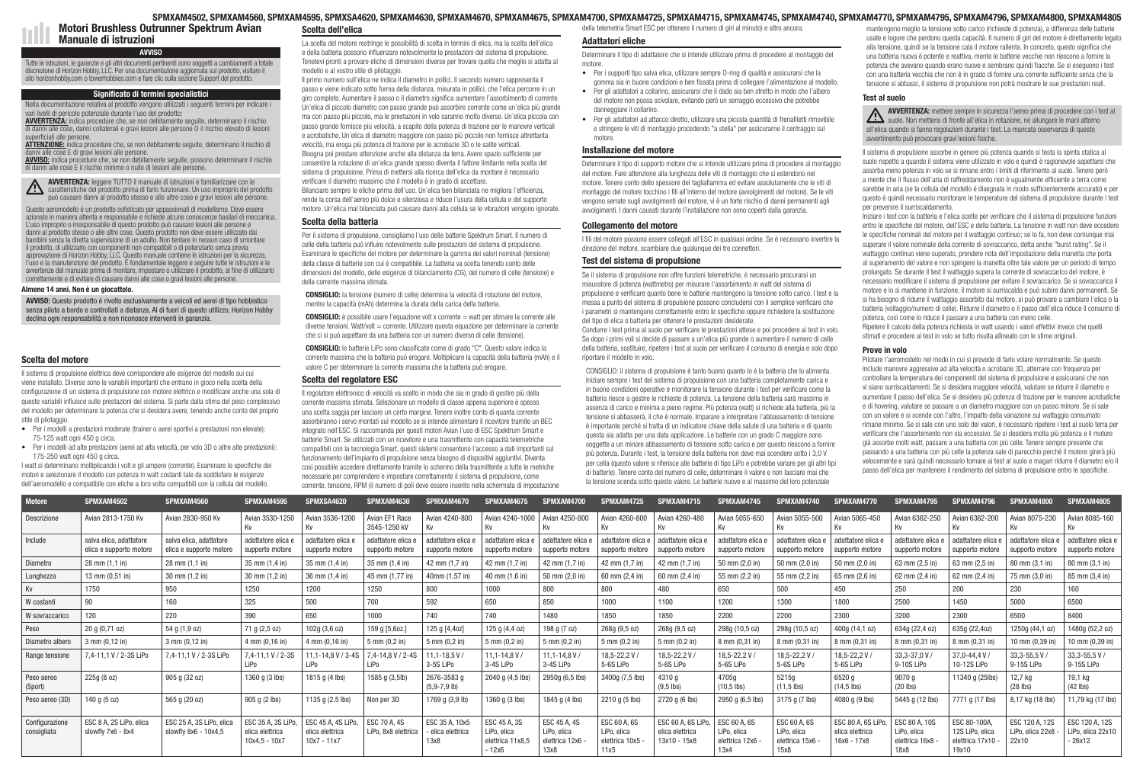# Scelta del motore

Il sistema di propulsione elettrica deve corrispondere alle esigenze del modello sui cui viene installato. Diverse sono le variabili importanti che entrano in gioco nella scelta della configurazione di un sistema di propulsione con motore elettrico e modificare anche una sola di queste variabili influisce sulle prestazioni del sistema. Si parte dalla stima del peso complessivo del modello per determinare la potenza che si desidera avere, tenendo anche conto del proprio stile di pilotaggio.

- Per i modelli a prestazioni moderate (trainer o aerei sportivi a prestazioni non elevate): 75-125 watt ogni 450 g circa.
- Per i modelli ad alte prestazioni (aerei ad alta velocità, per volo 3D o altre alte prestazioni): 175-250 watt ogni 450 g circa.

I watt si determinano moltiplicando i volt e gli ampere (corrente). Esaminare le specifiche dei motori e selezionare il modello con potenza in watt costanti tale da soddisfare le esigenze dell'aeromodello e compatibile con eliche a loro volta compatibili con la cellula del modello.

La scelta del motore restringe le possibilità di scelta in termini di elica, ma la scelta dell'elica e della batteria possono influenzare notevolmente le prestazioni del sistema di propulsione. Tenetevi pronti a provare eliche di dimensioni diverse per trovare quella che meglio si adatta al modello e al vostro stile di pilotaggio.

**CONSIGLIO:** è possibile usare l'equazione volt x corrente = watt per stimare la corrente alle diverse tensioni. Watt/volt = corrente. Utilizzare questa equazione per determinare la corrente che ci si può aspettare da una batteria con un numero diverso di celle (tensione).

Il primo numero sull'elica ne indica il diametro in pollici. Il secondo numero rappresenta il passo e viene indicato sotto forma della distanza, misurata in pollici, che l'elica percorre in un giro completo. Aumentare il passo o il diametro significa aumentare l'assorbimento di corrente. Un'elica di piccolo diametro con passo grande può assorbire corrente come un'elica più grande ma con passo più piccolo, ma le prestazioni in volo saranno molto diverse. Un'elica piccola con passo grande fornisce più velocità, a scapito della potenza di trazione per le manovre verticali e acrobatiche. Un'elica di diametro maggiore con passo più piccolo non fornisce altrettanta velocità, ma eroga più potenza di trazione per le acrobazie 3D o le salite verticali. Bisogna poi prestare attenzione anche alla distanza da terra. Avere spazio sufficiente per consentire la rotazione di un'elica grande spesso diventa il fattore limitante nella scelta del sistema di propulsione. Prima di mettersi alla ricerca dell'elica da montare è necessario verificare il diametro massimo che il modello è in grado di accettare. Bilanciare sempre le eliche prima dell'uso. Un'elica ben bilanciata ne migliora l'efficienza,

rende la corsa dell'aereo più dolce e silenziosa e riduce l'usura della cellula e del supporto motore. Un'elica mal bilanciata può causare danni alla cellula se le vibrazioni vengono ignorate.

# Scelta della batteria



#### SPMXAM4502, SPMXAM4560, SPMXAM4595, SPMXSA4620, SPMXAM4630, SPMXAM4670, SPMXAM4675, SPMXAM4700, SPMXAM4725, SPMXAM4715, SPMXAM4745, SPMXAM4740, SPMXAM4770, SPMXAM4795, SPMXAM4796, SPMXAM4800, SPMXAM4805 Scelta dell'elica della telemetria Smart ESC per ottenere il numero di giri al minuto) e altro ancora.

Per il sistema di propulsione, consigliamo l'uso delle batterie Spektrum Smart. Il numero di celle della batteria può influire notevolmente sulle prestazioni del sistema di propulsione. Esaminare le specifiche del motore per determinare la gamma dei valori nominali (tensione) della classe di batterie con cui è compatibile. La batteria va scelta tenendo conto delle dimensioni del modello, delle esigenze di bilanciamento (CG), del numero di celle (tensione) e della corrente massima stimata.

CONSIGLIO: la tensione (numero di celle) determina la velocità di rotazione del motore, mentre la capacità (mAh) determina la durata della carica della batteria.

CONSIGLIO: le batterie LiPo sono classificate come di grado "C". Questo valore indica la corrente massima che la batteria può erogare. Moltiplicare la capacità della batteria (mAh) e il valore C per determinare la corrente massima che la batteria può erogare.

# Scelta del regolatore ESC

Il regolatore elettronico di velocità va scelto in modo che sia in grado di gestire più della corrente massima stimata. Selezionare un modello di classe appena superiore è spesso una scelta saggia per lasciare un certo margine. Tenere inoltre conto di quanta corrente assorbiranno i servo montati sul modello se si intende alimentare il ricevitore tramite un BEC integrato nell'ESC. Si raccomanda per questi motori Avian l'uso di ESC Spektrum Smart e batterie Smart. Se utilizzati con un ricevitore e una trasmittente con capacità telemetriche compatibili con la tecnologia Smart, questi sistemi consentono l'accesso a dati importanti sul funzionamento dell'impianto di propulsione senza bisogno di dispositivi aggiuntivi. Diventa così possibile accedere direttamente tramite lo schermo della trasmittente a tutte le metriche necessarie per comprendere e impostare correttamente il sistema di propulsione, come corrente, tensione, RPM (il numero di poli deve essere inserito nella schermata di impostazione

AVVERTENZA: mettere sempre in sicurezza l'aereo prima di procedere con i test al suolo. Non mettersi di fronte all'elica in rotazione, né allungare le mani attorno all'elica quando si fanno regolazioni durante i test. La mancata osservanza di questo avvertimento può provocare gravi lesioni fisiche.

# Adattatori eliche

Determinare il tipo di adattatore che si intende utilizzare prima di procedere al montaggio del motore.

- Per i supporti tipo salva elica, utilizzare sempre O-ring di qualità e assicurarsi che la gomma sia in buone condizioni e ben fissata prima di collegare l'alimentazione al modello.
- Per gli adattatori a collarino, assicurarsi che il dado sia ben stretto in modo che l'albero del motore non possa scivolare, evitando però un serraggio eccessivo che potrebbe danneggiare il collarino.
- Per gli adattatori ad attacco diretto, utilizzare una piccola quantità di frenafiletti rimovibile e stringere le viti di montaggio procedendo "a stella" per assicurarne il centraggio sul motore.

## Installazione del motore

Determinare il tipo di supporto motore che si intende utilizzare prima di procedere al montaggio del motore. Fare attenzione alla lunghezza delle viti di montaggio che si estendono nel motore. Tenere conto dello spessore del tagliafiamma ed evitare assolutamente che le viti di montaggio del motore tocchino i fili all'interno del motore (avvolgimenti del motore). Se le viti vengono serrate sugli avvolgimenti del motore, vi è un forte rischio di danni permanenti agli avvolgimenti. I danni causati durante l'installazione non sono coperti dalla garanzia.

## Collegamento del motore

I fili del motore possono essere collegati all'ESC in qualsiasi ordine. Se è necessario invertire la direzione del motore, scambiare due qualunque dei tre connettori.

# Test del sistema di propulsione

Se il sistema di propulsione non offre funzioni telemetriche, è necessario procurarsi un misuratore di potenza (wattmetro) per misurare l'assorbimento in watt del sistema di propulsione e verificare quanto bene le batterie mantengono la tensione sotto carico. I test e la messa a punto del sistema di propulsione possono concludersi con il semplice verificare che i parametri si mantengono correttamente entro le specifiche oppure richiedere la sostituzione del tipo di elica o batteria per ottenere le prestazioni desiderate.

AVVISO: indica procedure che, se non debitamente seguite, possono determinare il rischio di danni alle cose E il rischio minimo o nullo di lesioni alle persone.

Condurre i test prima al suolo per verificare le prestazioni attese e poi procedere ai test in volo. Se dopo i primi voli si decide di passare a un'elica più grande o aumentare il numero di celle della batteria, sostituire, ripetere i test al suolo per verificare il consumo di energia e solo dopo riportare il modello in volo.

CONSIGLIO: il sistema di propulsione è tanto buono quanto lo è la batteria che lo alimenta. Iniziare sempre i test del sistema di propulsione con una batteria completamente carica e in buone condizioni operative e monitorare la tensione durante i test per verificare come la batteria riesce a gestire le richieste di potenza. La tensione della batteria sarà massima in assenza di carico e minima a pieno regime. Più potenza (watt) si richiede alla batteria, più la tensione si abbasserà, il che è normale. Imparare a interpretare l'abbassamento di tensione è importante perché si tratta di un indicatore chiave della salute di una batteria e di quanto questa sia adatta per una data applicazione. Le batterie con un grado C maggiore sono soggette a un minore abbassamento di tensione sotto carico e per questo riescono a fornire più potenza. Durante i test, la tensione della batteria non deve mai scendere sotto i 3,0 V per cella (questo valore si riferisce alle batterie di tipo LiPo e potrebbe variare per gli altri tipi di batterie). Tenere conto del numero di celle, determinare il valore e non lasciare mai che la tensione scenda sotto questo valore. Le batterie nuove e al massimo del loro potenziale

mantengono meglio la tensione sotto carico (richieste di potenza), a differenza delle batterie usate e logore che perdono questa capacità. Il numero di giri del motore è direttamente legato alla tensione, quindi se la tensione cala il motore rallenta. In concreto, questo significa che una batteria nuova è potente e reattiva, mente le batterie vecchie non riescono a fornire la potenza che avevano quando erano nuove e sembrano quindi fiacche. Se si eseguono i test con una batteria vecchia che non è in grado di fornire una corrente sufficiente senza che la tensione si abbassi, il sistema di propulsione non potrà mostrare le sue prestazioni reali.

# Test al suolo

Il sistema di propulsione assorbe in genere più potenza quando si testa la spinta statica al suolo rispetto a quando il sistema viene utilizzato in volo e quindi è ragionevole aspettarsi che assorba meno potenza in volo se si rimane entro i limiti di riferimento al suolo. Tenere però a mente che il flusso dell'aria di raffreddamento non è ugualmente efficiente a terra come sarebbe in aria (se la cellula del modello è disegnata in modo sufficientemente accurato) e per questo è quindi necessario monitorare le temperature del sistema di propulsione durante i test per prevenire il surriscaldamento.

Iniziare i test con la batteria e l'elica scelte per verificare che il sistema di propulsione funzioni entro le specifiche del motore, dell'ESC e della batteria. La tensione in watt non deve eccedere le specifiche nominali del motore per il wattaggio continuo; se lo fa, non deve comunque mai superare il valore nominale della corrente di sovraccarico, detta anche "burst rating". Se il wattaggio continuo viene superato, prendere nota dell'impostazione della manetta che porta al superamento del valore e non spingere la manetta oltre tale valore per un periodo di tempo prolungato. Se durante il test il wattaggio supera la corrente di sovraccarico del motore, è necessario modificare il sistema di propulsione per evitare il sovraccarico. Se si sovraccarica il motore e lo si mantiene in funzione, il motore si surriscalda e può subire danni permanenti. Se si ha bisogno di ridurre il wattaggio assorbito dal motore, si può provare a cambiare l'elica o la batteria (voltaggio/numero di celle). Ridurre il diametro o il passo dell'elica riduce il consumo di potenza, così come lo riduce il passare a una batteria con meno celle.

Ripetere il calcolo della potenza richiesta in watt usando i valori effettivi invece che quelli stimati e procedere ai test in volo se tutto risulta allineato con le stime originali.

# Prove in volo

Pilotare l'aeromodello nel modo in cui si prevede di farlo volare normalmente. Se questo include manovre aggressive ad alta velocità o acrobazie 3D, atterrare con frequenza per controllare la temperatura dei componenti del sistema di propulsione e assicurarsi che non vi siano surriscaldamenti. Se si desidera maggiore velocità, valutare se ridurre il diametro e aumentare il passo dell'elica. Se si desidera più potenza di trazione per le manovre acrobatiche e di hovering, valutare se passare a un diametro maggiore con un passo minore. Se si sale con un valore e si scende con l'altro, l'impatto della variazione sul wattaggio consumato rimane minimo. Se si sale con uno solo dei valori, è necessario ripetere i test al suolo terra per verificare che l'assorbimento non sia eccessivo. Se si desidera molta più potenza e il motore già assorbe molti watt, passare a una batteria con più celle. Tenere sempre presente che passando a una batteria con più celle la potenza sale di parecchio perché il motore girerà più velocemente e sarà quindi necessario tornare ai test al suolo e magari ridurre il diametro e/o il passo dell'elica per mantenere il rendimento del sistema di propulsione entro le specifiche.

Motori Brushless Outrunner Spektrum Avian Manuale di istruzioni

# **AVVISO**

#### Almeno 14 anni. Non è un giocattolo.

AVVISO: Questo prodotto è rivolto esclusivamente a veicoli ed aerei di tipo hobbistico senza pilota a bordo e controllati a distanza. Al di fuori di questo utilizzo, Horizon Hobby declina ogni responsabilità e non riconosce interventi in garanzia.

Tutte le istruzioni, le garanzie e gli altri documenti pertinenti sono soggetti a cambiamenti a totale discrezione di Horizon Hobby, LLC. Per una documentazione aggiornata sul prodotto, visitare il sito horizonhobby.com o towerhobbies.com e fare clic sulla sezione Support del prodotto.

# Significato di termini specialistici

Nella documentazione relativa al prodotto vengono utilizzati i seguenti termini per indicare i vari livelli di pericolo potenziale durante l'uso del prodotto:

AVVERTENZA: indica procedure che, se non debitamente seguite, determinano il rischio di danni alle cose, danni collaterali e gravi lesioni alle persone O il rischio elevato di lesioni superficiali alle persone.

ATTENZIONE: indica procedure che, se non debitamente seguite, determinano il rischio di ni alle cose E di gravi lesioni alle persone.

AVVERTENZA: leggere TUTTO il manuale di istruzioni e familiarizzare con le caratteristiche del prodotto prima di farlo funzionare. Un uso improprio del prodotto può causare danni al prodotto stesso e alle altre cose e gravi lesioni alle persone.

Questo aeromodello è un prodotto sofisticato per appassionati di modellismo. Deve essere azionato in maniera attenta e responsabile e richiede alcune conoscenze basilari di meccanica. L'uso improprio o irresponsabile di questo prodotto può causare lesioni alle persone e danni al prodotto stesso o alle altre cose. Questo prodotto non deve essere utilizzato dai bambini senza la diretta supervisione di un adulto. Non tentare in nessun caso di smontare il prodotto, di utilizzarlo con componenti non compatibili o di potenziarlo senza previa approvazione di Horizon Hobby, LLC. Questo manuale contiene le istruzioni per la sicurezza, l'uso e la manutenzione del prodotto. È fondamentale leggere e seguire tutte le istruzioni e le avvertenze del manuale prima di montare, impostare o utilizzare il prodotto, al fine di utilizzarlo correttamente e di evitare di causare danni alle cose o gravi lesioni alle persone.

| <b>Motore</b>                 | SPMXAM4502                                         | SPMXAM4560                                         | SPMXAM4595                                               | SPMXSA4620                                             | SPMXAM4630                            | SPMXAM4670                                | SPMXAM4675                                              | SPMXAM4700                                            | SPMXAM4725                                           | SPMXAM4715                                            | SPMXAM4745                                            | SPMXAM4740                                              | SPMXAM4770                                             | SPMXAM4795                                             | <b>SPMXAM4796</b>                                          | SPMXAM4800                                  | SPMXAM4805                                      |
|-------------------------------|----------------------------------------------------|----------------------------------------------------|----------------------------------------------------------|--------------------------------------------------------|---------------------------------------|-------------------------------------------|---------------------------------------------------------|-------------------------------------------------------|------------------------------------------------------|-------------------------------------------------------|-------------------------------------------------------|---------------------------------------------------------|--------------------------------------------------------|--------------------------------------------------------|------------------------------------------------------------|---------------------------------------------|-------------------------------------------------|
| Descrizione                   | Avian 2813-1750 Kv                                 | Avian 2830-950 Kv                                  | Avian 3530-1250<br>Kv                                    | Avian 3536-1200                                        | Avian EF1 Race<br>3545-1250 kV        | Avian 4240-800<br>Kv                      | Avian 4240-1000                                         | Avian 4250-800                                        | Avian 4260-800                                       | Avian 4260-480                                        | Avian 5055-650                                        | Avian 5055-500                                          | Avian 5065-450<br>Κv                                   | Avian 6362-250<br>Kv.                                  | Avian 6362-200<br>Κv                                       | Avian 8075-230                              | Avian 8085-160                                  |
| Include                       | salva elica, adattatore<br>elica e supporto motore | salva elica, adattatore<br>elica e supporto motore | adattatore elica<br>supporto motore                      | adattatore elica e<br>supporto motore                  | adattatore elica e<br>supporto motore | adattatore elica e<br>supporto motore     | adattatore elica e<br>supporto motore                   | adattatore elica e<br>supporto motore                 | dattatore elica<br>supporto motore                   | adattatore elica e<br>supporto motore                 | adattatore elica<br>supporto motore                   | adattatore elica<br>supporto motore                     | adattatore elica e<br>supporto motore                  | adattatore elica e<br>supporto motore                  | dattatore elica<br>supporto motore                         | adattatore elica e<br>supporto motore       | adattatore elica e<br>supporto motore           |
| Diametro                      | $28 \text{ mm} (1, 1 \text{ in})$                  | $28 \text{ mm} (1, 1 \text{ in})$                  | 35 mm (1,4 in)                                           | 35 mm (1,4 in)                                         | 35 mm (1,4 in)                        | 42 mm (1,7 in)                            | 42 mm (1,7 in)                                          | 42 mm (1,7 in)                                        | 42 mm (1,7 in)                                       | 42 mm (1,7 in)                                        | 50 mm (2,0 in)                                        | 50 mm (2,0 in)                                          | 50 mm (2,0 in)                                         | 63 mm (2,5 in)                                         | 63 mm (2,5 in)                                             | 80 mm (3,1 in)                              | 80 mm (3,1 in)                                  |
| Lunghezza                     | 13 mm (0,51 in)                                    | 30 mm (1,2 in)                                     | $30 \text{ mm} (1,2 \text{ in})$                         | 36 mm (1,4 in)                                         | 45 mm (1.77 in)                       | 40mm (1,57 in)                            | 40 mm (1,6 in)                                          | 50 mm (2,0 in)                                        | 60 mm (2,4 in)                                       | 60 mm (2,4 in)                                        | 55 mm (2,2 in)                                        | 55 mm (2,2 in)                                          | 65 mm (2,6 in)                                         | 62 mm (2,4 in)                                         | 62 mm (2,4 in)                                             | 75 mm (3,0 in)                              | 85 mm (3,4 in)                                  |
| Kv                            | 1750                                               | 950                                                | 1250                                                     | 1200                                                   | 1250                                  | 800                                       | 1000                                                    | 800                                                   | 800                                                  | 480                                                   | 650                                                   |                                                         | 450                                                    | 250                                                    | 200                                                        | 230                                         | 160                                             |
| W costanti                    | 90                                                 | 160                                                | 325                                                      | 500                                                    | 700                                   | 592                                       | 650                                                     | 850                                                   | 1000                                                 | 1100                                                  | 1200                                                  | 1300                                                    | 1800                                                   | 2500                                                   | 1450                                                       | 5000                                        | 6500                                            |
| W sovraccarico                | 120                                                | 220                                                | 390                                                      | 650                                                    | 1000                                  | 740                                       | 740                                                     | 1480                                                  | 1850                                                 | 1850                                                  | 2200                                                  | 2200                                                    | 2300                                                   | 3200                                                   | 2300                                                       | 6500                                        | 8400                                            |
| Peso                          | 20 g (0,71 oz)                                     | 54 g (1,9 oz)                                      | 71 g (2,5 oz)                                            | 102g (3,6 oz)                                          | 159 g [5,6oz.                         | 125 g [4,4oz]                             | 125 g (4,4 oz)                                          | 198 g (7 oz)                                          | 268g (9,5 oz)                                        | 268g (9,5 oz)                                         | 298g (10,5 oz)                                        | 298g (10,5 oz)                                          | 400g (14,1 oz)                                         | 634g (22,4 oz)                                         | 635g (22,4oz)                                              | 250g (44,1 oz)                              | 1480g (52,2 oz)                                 |
| Diametro albero               | 3 mm (0,12 in)                                     | $3$ mm $(0, 12$ in)                                | 4 mm (0,16 in)                                           | 4 mm (0,16 in)                                         | $5 \, \text{mm}$ (0,2 in)             | $5 \text{ mm} (0.2 \text{ in})$           | 5 mm (0,2 in)                                           | $5 \, \text{mm}$ (0,2 in)                             | $5 \, \text{mm}$ (0,2 in)                            | 5 mm (0,2 in)                                         | 8 mm (0,31 in)                                        | 8 mm (0,31 in                                           | 8 mm (0,31 in)                                         | 8 mm (0,31 in)                                         | 3 mm (0,31 in                                              | 0 mm (0,39 in                               | 10 mm (0,39 in)                                 |
| Range tension                 | 7.4-11.1 V / 2-3S LiPo                             | 7,4-11,1 V / 2-3S LiPo                             | $7.4 - 11.1 V / 2 - 3S$<br>I iPo                         | .1-14.8 V / 3-4S<br>LiPo                               | 7.4-14.8 V / 2-4S<br>LiPo             | $11.1 - 18.5$ V<br>3-5S LiPo              | $11.1 - 14.8$ V<br>3-4S LiPo                            | $11.1 - 14.8$ V<br>3-4S LiPo                          | 18.5-22.2 V<br>5-6S LiPo                             | 18,5-22,2V<br>5-6S LiPo                               | 18,5-22,2V<br>5-6S LiPo                               | 18,5-22,2V<br>5-6S LiPo                                 | 18,5-22,2V<br>5-6S LiPo                                | 33, 3-37, 0 V<br>9-10S LiPo                            | 37.0-44.4 V<br>10-12S LiPo                                 | 33, 3-55, 5 V<br>9-15S LiPo                 | 33, 3-55, 5 V /<br>9-15S LiPo                   |
| Peso aereo<br>(Sport)         | 225g (8 oz)                                        | 905 g (32 oz)                                      | 1360 g (3 lbs)                                           | 1815 g (4 lbs)                                         | 1585 g (3,5lb)                        | 2676-3583 g<br>$(5,9-7,9)$ lb)            | 2040 g (4,5 lbs)                                        | 2950g (6,5 lbs)                                       | 3400g (7,5 lbs)                                      | 4310 g<br>$(9,5$ lbs)                                 | 4705a<br>$(10, 5$ lbs)                                | 5215g<br>$(11, 5$ lbs)                                  | 6520 g<br>$(14, 5$ lbs)                                | 9070 q<br>$(20$ lbs)                                   | 11340 g (25lbs)                                            | 12,7 kg<br>$(28$ lbs)                       | 19,1 kg<br>$(42$ lbs)                           |
| Peso aereo (3D)               | 140 g (5 oz)                                       | 565 g (20 oz)                                      | 905 g (2 lbs)                                            | 1135 g (2.5 lbs)                                       | Non per 3D                            | 1769 g (3,9 lb)                           | 1360 g (3 lbs)                                          | 1845 g (4 lbs)                                        | 2210 g (5 lbs)                                       | 2720 g (6 lbs)                                        | 2950 g (6,5 lbs)                                      | 175 g (7 lbs)                                           | 4080 g (9 lbs)                                         | 5445 g (12 lbs)                                        | 771 g (17 lbs)                                             | 8,17 kg (18 lbs)                            | 1,79 kg (17 lbs)                                |
| Configurazione<br>consigliata | ESC 8 A, 2S LiPo, elica<br>slowfly 7x6 - 8x4       | ESC 25 A, 3S LiPo, elica<br>slowfly 8x6 - 10x4,5   | ESC 35 A, 3S LiPo,<br>elica elettrica<br>$10x4.5 - 10x7$ | ESC 45 A, 4S LiPo,<br>elica elettrica<br>$10x7 - 11x7$ | ESC 70 A, 4S<br>LiPo. 8x8 elettrica   | ESC 35 A, 10x5<br>elica elettrica<br>13x8 | ESC 45 A, 3S<br>LiPo, elica<br>elettrica 11x8,5<br>12x6 | ESC 45 A, 4S<br>LiPo, elica<br>elettrica 12x6<br>13x8 | ESC 60 A, 6S<br>LiPo, elica<br>elettrica 10x5<br>1x5 | ESC 60 A, 6S LiPo,<br>elica elettrica<br>13x10 - 15x8 | ESC 60 A, 6S<br>LiPo, elica<br>elettrica 12x6<br>13x4 | ESC 60 A, 6S<br>LiPo, elica<br>elettrica 15x6 ·<br>15x8 | ESC 80 A, 6S LiPo,<br>elica elettrica<br>$16x6 - 17x8$ | ESC 80 A, 10S<br>LiPo, elica<br>elettrica 16x8<br>18x8 | ESC 80-100A<br>12S LiPo, elica<br>elettrica 17x10<br>19x10 | ESC 120 A, 12S<br>LiPo, elica 22x8<br>22x10 | ESC 120 A, 12S<br>LiPo, elica 22x10<br>$-26x12$ |